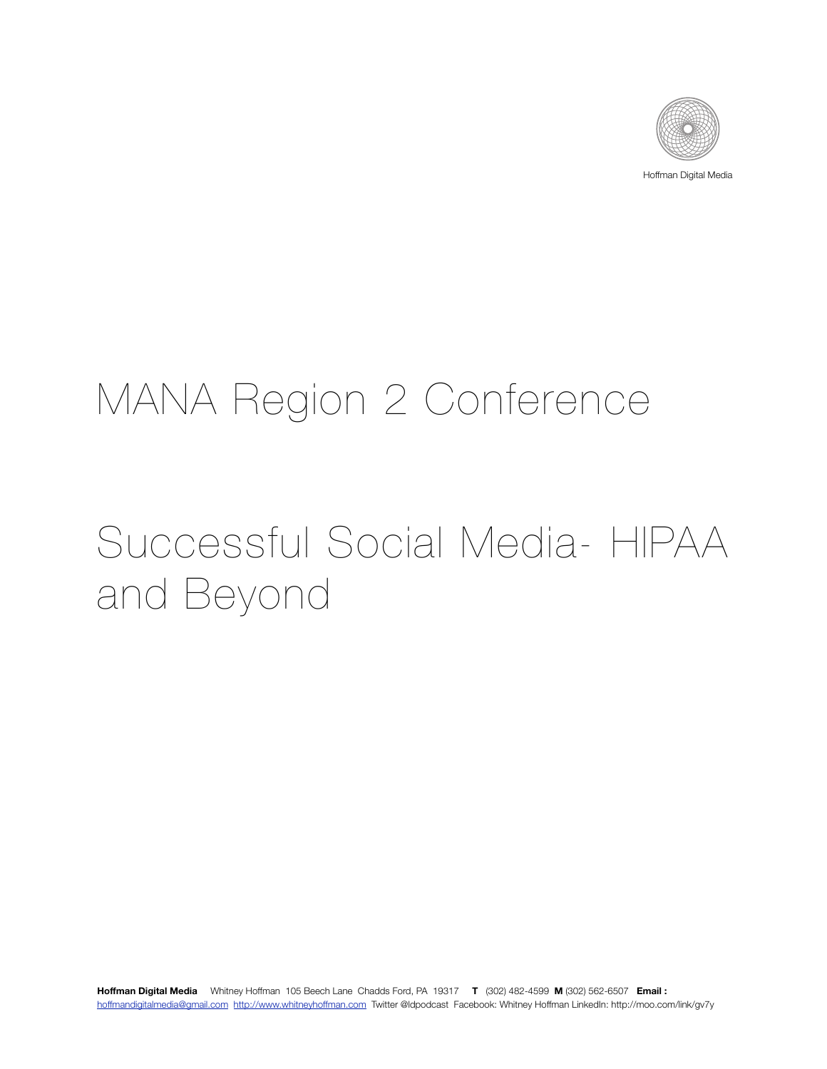

Hoffman Digital Media

## MANA Region 2 Conference

# Successful Social Media- HIPAA and Beyond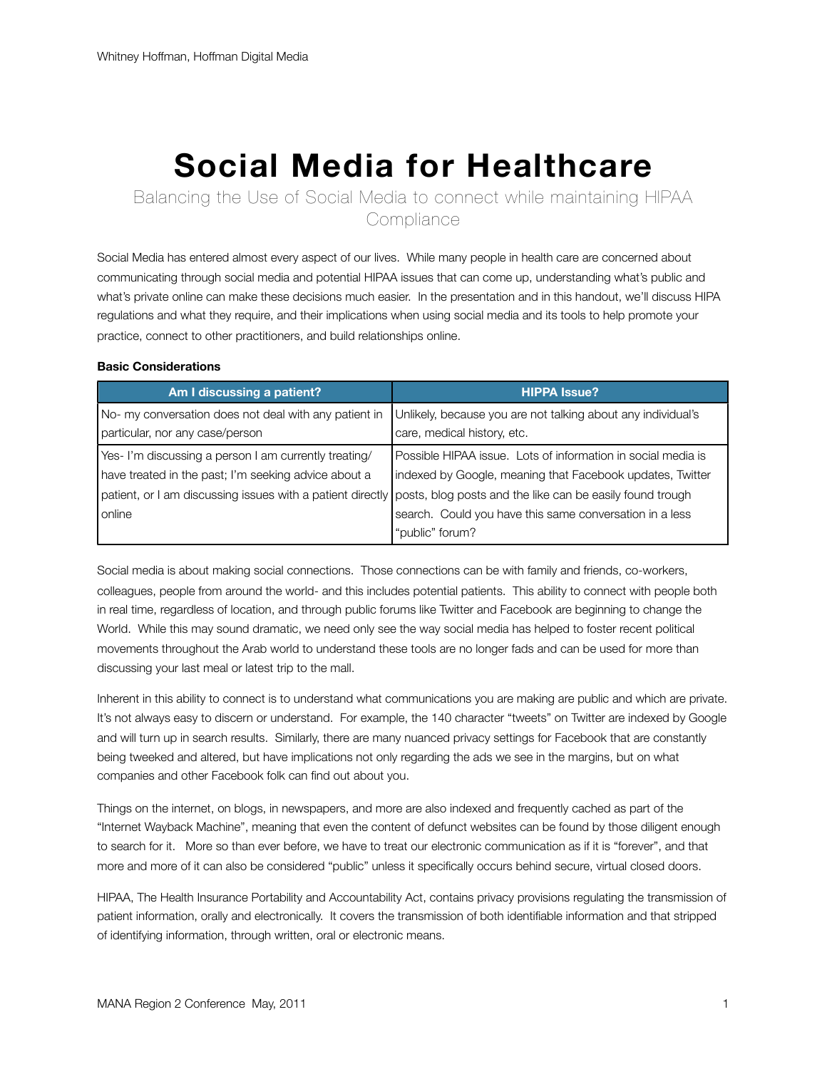## **Social Media for Healthcare**

Balancing the Use of Social Media to connect while maintaining HIPAA **Compliance** 

Social Media has entered almost every aspect of our lives. While many people in health care are concerned about communicating through social media and potential HIPAA issues that can come up, understanding what's public and what's private online can make these decisions much easier. In the presentation and in this handout, we'll discuss HIPA regulations and what they require, and their implications when using social media and its tools to help promote your practice, connect to other practitioners, and build relationships online.

#### **Basic Considerations**

| Am I discussing a patient?                            | <b>HIPPA Issue?</b>                                                                                                  |
|-------------------------------------------------------|----------------------------------------------------------------------------------------------------------------------|
| No- my conversation does not deal with any patient in | Unlikely, because you are not talking about any individual's                                                         |
| particular, nor any case/person                       | care, medical history, etc.                                                                                          |
| Yes- I'm discussing a person I am currently treating/ | Possible HIPAA issue. Lots of information in social media is                                                         |
| have treated in the past; I'm seeking advice about a  | indexed by Google, meaning that Facebook updates, Twitter                                                            |
|                                                       | patient, or I am discussing issues with a patient directly posts, blog posts and the like can be easily found trough |
| l online                                              | search. Could you have this same conversation in a less                                                              |
|                                                       | "public" forum?                                                                                                      |

Social media is about making social connections. Those connections can be with family and friends, co-workers, colleagues, people from around the world- and this includes potential patients. This ability to connect with people both in real time, regardless of location, and through public forums like Twitter and Facebook are beginning to change the World. While this may sound dramatic, we need only see the way social media has helped to foster recent political movements throughout the Arab world to understand these tools are no longer fads and can be used for more than discussing your last meal or latest trip to the mall.

Inherent in this ability to connect is to understand what communications you are making are public and which are private. It's not always easy to discern or understand. For example, the 140 character "tweets" on Twitter are indexed by Google and will turn up in search results. Similarly, there are many nuanced privacy settings for Facebook that are constantly being tweeked and altered, but have implications not only regarding the ads we see in the margins, but on what companies and other Facebook folk can find out about you.

Things on the internet, on blogs, in newspapers, and more are also indexed and frequently cached as part of the "Internet Wayback Machine", meaning that even the content of defunct websites can be found by those diligent enough to search for it. More so than ever before, we have to treat our electronic communication as if it is "forever", and that more and more of it can also be considered "public" unless it specifically occurs behind secure, virtual closed doors.

HIPAA, The Health Insurance Portability and Accountability Act, contains privacy provisions regulating the transmission of patient information, orally and electronically. It covers the transmission of both identifiable information and that stripped of identifying information, through written, oral or electronic means.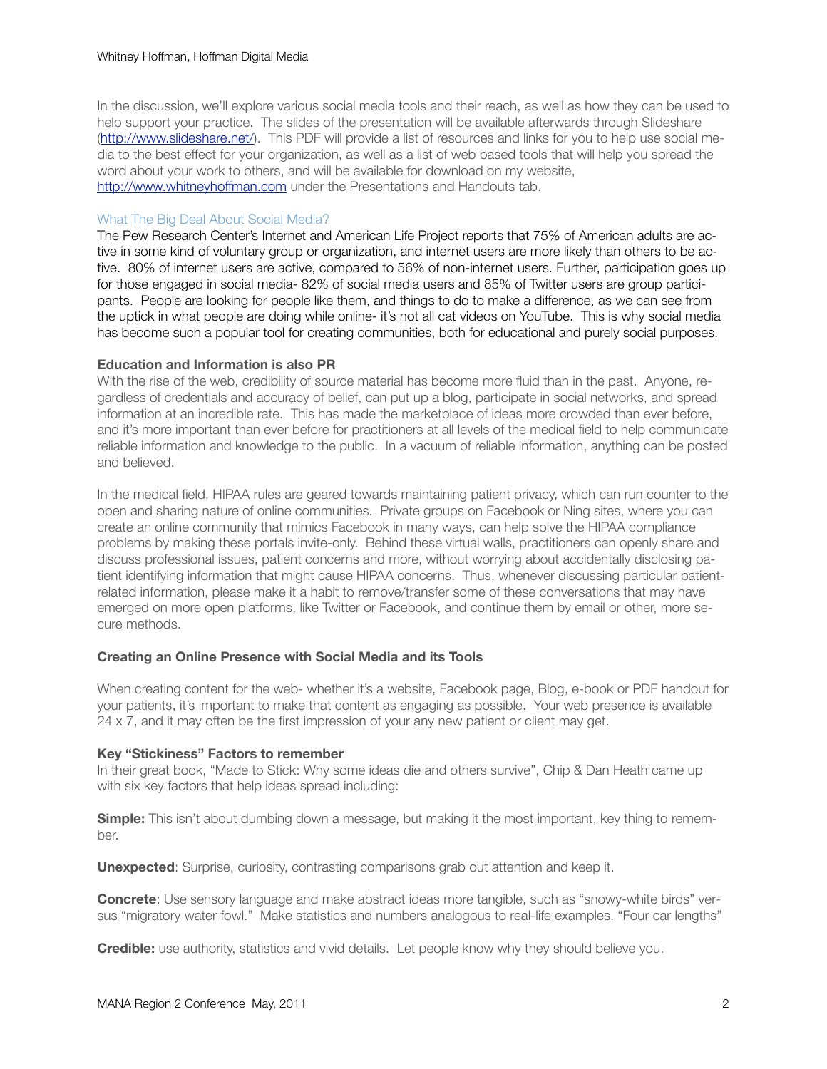In the discussion, we'll explore various social media tools and their reach, as well as how they can be used to help support your practice. The slides of the presentation will be available afterwards through Slideshare [\(http://www.slideshare.net/\)](http://www.slideshare.net/). This PDF will provide a list of resources and links for you to help use social media to the best effect for your organization, as well as a list of web based tools that will help you spread the word about your work to others, and will be available for download on my website, <http://www.whitneyhoffman.com> under the Presentations and Handouts tab.

#### What The Big Deal About Social Media?

The Pew Research Center's Internet and American Life Project reports that 75% of American adults are active in some kind of voluntary group or organization, and internet users are more likely than others to be active. 80% of internet users are active, compared to 56% of non-internet users. Further, participation goes up for those engaged in social media- 82% of social media users and 85% of Twitter users are group participants. People are looking for people like them, and things to do to make a difference, as we can see from the uptick in what people are doing while online- it's not all cat videos on YouTube. This is why social media has become such a popular tool for creating communities, both for educational and purely social purposes.

#### **Education and Information is also PR**

With the rise of the web, credibility of source material has become more fluid than in the past. Anyone, regardless of credentials and accuracy of belief, can put up a blog, participate in social networks, and spread information at an incredible rate. This has made the marketplace of ideas more crowded than ever before, and it's more important than ever before for practitioners at all levels of the medical field to help communicate reliable information and knowledge to the public. In a vacuum of reliable information, anything can be posted and believed.

In the medical field, HIPAA rules are geared towards maintaining patient privacy, which can run counter to the open and sharing nature of online communities. Private groups on Facebook or Ning sites, where you can create an online community that mimics Facebook in many ways, can help solve the HIPAA compliance problems by making these portals invite-only. Behind these virtual walls, practitioners can openly share and discuss professional issues, patient concerns and more, without worrying about accidentally disclosing patient identifying information that might cause HIPAA concerns. Thus, whenever discussing particular patientrelated information, please make it a habit to remove/transfer some of these conversations that may have emerged on more open platforms, like Twitter or Facebook, and continue them by email or other, more secure methods.

#### **Creating an Online Presence with Social Media and its Tools**

When creating content for the web- whether it's a website, Facebook page, Blog, e-book or PDF handout for your patients, it's important to make that content as engaging as possible. Your web presence is available 24 x 7, and it may often be the first impression of your any new patient or client may get.

#### **Key "Stickiness" Factors to remember**

In their great book, "Made to Stick: Why some ideas die and others survive", Chip & Dan Heath came up with six key factors that help ideas spread including:

**Simple:** This isn't about dumbing down a message, but making it the most important, key thing to remember.

**Unexpected**: Surprise, curiosity, contrasting comparisons grab out attention and keep it.

**Concrete**: Use sensory language and make abstract ideas more tangible, such as "snowy-white birds" versus "migratory water fowl." Make statistics and numbers analogous to real-life examples. "Four car lengths"

**Credible:** use authority, statistics and vivid details. Let people know why they should believe you.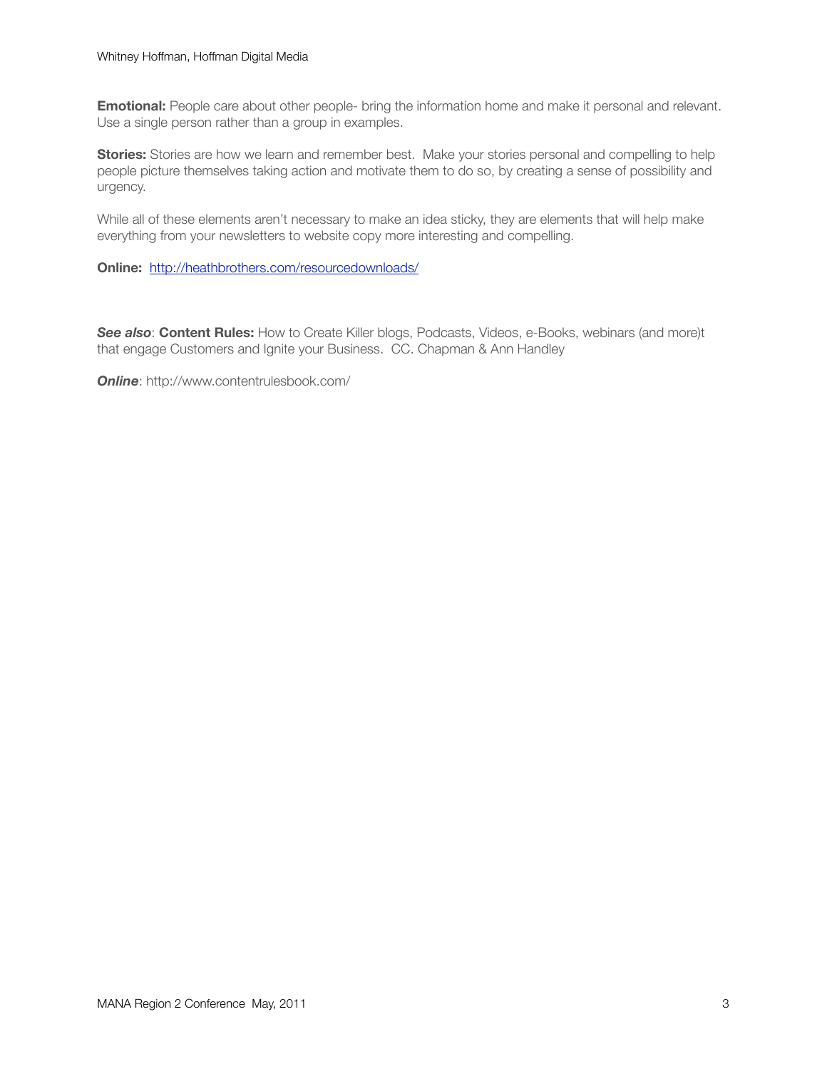**Emotional:** People care about other people- bring the information home and make it personal and relevant. Use a single person rather than a group in examples.

**Stories:** Stories are how we learn and remember best. Make your stories personal and compelling to help people picture themselves taking action and motivate them to do so, by creating a sense of possibility and urgency.

While all of these elements aren't necessary to make an idea sticky, they are elements that will help make everything from your newsletters to website copy more interesting and compelling.

**Online:** <http://heathbrothers.com/resourcedownloads/>

*See also*: **Content Rules:** How to Create Killer blogs, Podcasts, Videos, e-Books, webinars (and more)t that engage Customers and Ignite your Business. CC. Chapman & Ann Handley

*Online*: http://www.contentrulesbook.com/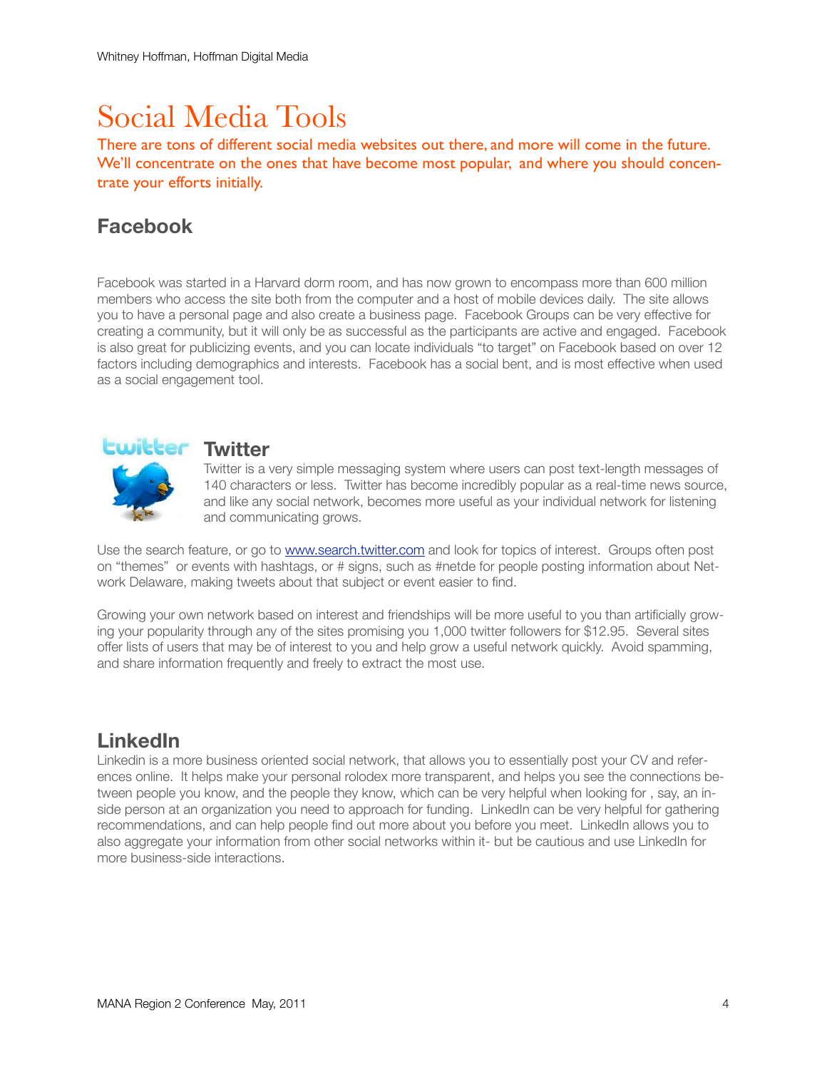## Social Media Tools

There are tons of different social media websites out there, and more will come in the future. We'll concentrate on the ones that have become most popular, and where you should concentrate your efforts initially.

### **Facebook**

Facebook was started in a Harvard dorm room, and has now grown to encompass more than 600 million members who access the site both from the computer and a host of mobile devices daily. The site allows you to have a personal page and also create a business page. Facebook Groups can be very effective for creating a community, but it will only be as successful as the participants are active and engaged. Facebook is also great for publicizing events, and you can locate individuals "to target" on Facebook based on over 12 factors including demographics and interests. Facebook has a social bent, and is most effective when used as a social engagement tool.



Twitter is a very simple messaging system where users can post text-length messages of 140 characters or less. Twitter has become incredibly popular as a real-time news source, and like any social network, becomes more useful as your individual network for listening and communicating grows.

Use the search feature, or go to [www.search.twitter.com](http://www.search.twitter.com) and look for topics of interest. Groups often post on "themes" or events with hashtags, or # signs, such as #netde for people posting information about Network Delaware, making tweets about that subject or event easier to find.

Growing your own network based on interest and friendships will be more useful to you than artificially growing your popularity through any of the sites promising you 1,000 twitter followers for \$12.95. Several sites offer lists of users that may be of interest to you and help grow a useful network quickly. Avoid spamming, and share information frequently and freely to extract the most use.

### **LinkedIn**

Linkedin is a more business oriented social network, that allows you to essentially post your CV and references online. It helps make your personal rolodex more transparent, and helps you see the connections between people you know, and the people they know, which can be very helpful when looking for , say, an inside person at an organization you need to approach for funding. LinkedIn can be very helpful for gathering recommendations, and can help people find out more about you before you meet. LinkedIn allows you to also aggregate your information from other social networks within it- but be cautious and use LinkedIn for more business-side interactions.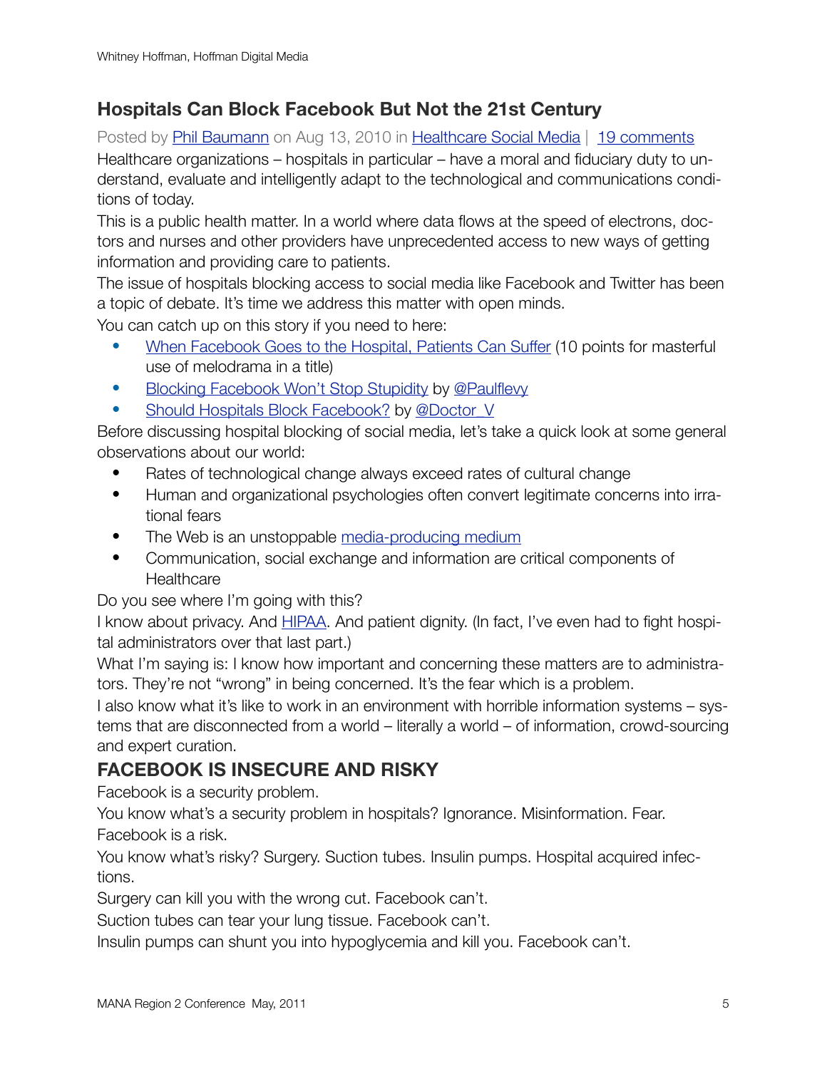### **Hospitals Can Block Facebook But Not the 21st Century**

Posted by [Phil Baumann](http://healthissocial.com/author/admin/) on Aug 13, 2010 in [Healthcare Social Media](http://healthissocial.com/category/healthcare-social-media/) | [19 comments](http://healthissocial.com/healthcare-social-media/hospitals-can-block-facebook-but-not-the-21st-century/#comments) Healthcare organizations – hospitals in particular – have a moral and fiduciary duty to understand, evaluate and intelligently adapt to the technological and communications conditions of today.

This is a public health matter. In a world where data flows at the speed of electrons, doctors and nurses and other providers have unprecedented access to new ways of getting information and providing care to patients.

The issue of hospitals blocking access to social media like Facebook and Twitter has been a topic of debate. It's time we address this matter with open minds.

You can catch up on this story if you need to here:

- [When Facebook Goes to the Hospital, Patients Can Suffer](http://www.latimes.com/news/local/la-me-facebook-20100809,0,7484743.story) (10 points for masterful use of melodrama in a title)
- [Blocking Facebook Won't Stop Stupidity](http://runningahospital.blogspot.com/2010/08/blocking-facebook-wont-stop-stupidity.html) by [@Paulflevy](http://twitter.com/paulflevy)
- [Should Hospitals Block Facebook?](http://33charts.com/2010/08/should-hospitals-block-facebook.html) by @Doctor V

Before discussing hospital blocking of social media, let's take a quick look at some general observations about our world:

- Rates of technological change always exceed rates of cultural change
- Human and organizational psychologies often convert legitimate concerns into irrational fears
- The Web is an unstoppable [media-producing medium](http://philbaumann.com/2010/08/12/beware-psychosis-in-social-media/)
- Communication, social exchange and information are critical components of **Healthcare**

Do you see where I'm going with this?

I know about privacy. And [HIPAA.](http://philbaumann.com/2008/07/17/twitter-hipaa-privacy-and-freedom-of-speech/) And patient dignity. (In fact, I've even had to fight hospital administrators over that last part.)

What I'm saying is: I know how important and concerning these matters are to administrators. They're not "wrong" in being concerned. It's the fear which is a problem.

I also know what it's like to work in an environment with horrible information systems – systems that are disconnected from a world – literally a world – of information, crowd-sourcing and expert curation.

### **FACEBOOK IS INSECURE AND RISKY**

Facebook is a security problem.

You know what's a security problem in hospitals? Ignorance. Misinformation. Fear.

Facebook is a risk.

You know what's risky? Surgery. Suction tubes. Insulin pumps. Hospital acquired infections.

Surgery can kill you with the wrong cut. Facebook can't.

Suction tubes can tear your lung tissue. Facebook can't.

Insulin pumps can shunt you into hypoglycemia and kill you. Facebook can't.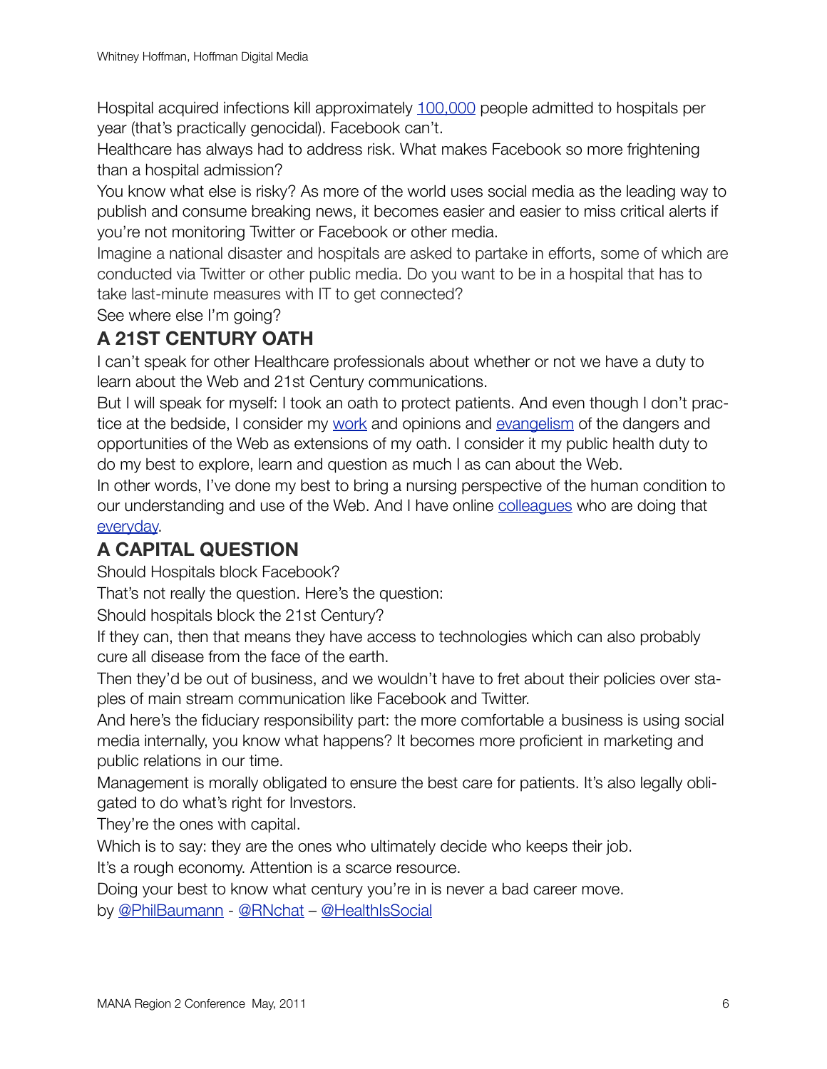Hospital acquired infections kill approximately [100,000](http://en.wikipedia.org/wiki/Nosocomial_infection) people admitted to hospitals per year (that's practically genocidal). Facebook can't.

Healthcare has always had to address risk. What makes Facebook so more frightening than a hospital admission?

You know what else is risky? As more of the world uses social media as the leading way to publish and consume breaking news, it becomes easier and easier to miss critical alerts if you're not monitoring Twitter or Facebook or other media.

Imagine a national disaster and hospitals are asked to partake in efforts, some of which are conducted via Twitter or other public media. Do you want to be in a hospital that has to take last-minute measures with IT to get connected?

See where else I'm going?

### **A 21ST CENTURY OATH**

I can't speak for other Healthcare professionals about whether or not we have a duty to learn about the Web and 21st Century communications.

But I will speak for myself: I took an oath to protect patients. And even though I don't practice at the bedside, I consider my [work](http://philbaumann.com/2009/01/16/140-health-care-uses-for-twitter/) and opinions and [evangelism](http://philbaumann.com/2008/06/12/why-a-registered-nurse-is-interested-in-social-media/) of the dangers and opportunities of the Web as extensions of my oath. I consider it my public health duty to do my best to explore, learn and question as much I as can about the Web.

In other words, I've done my best to bring a nursing perspective of the human condition to our understanding and use of the Web. And I have online [colleagues](http://twitter.com/HealthIsSocial/nurses) who are doing that [everyday.](http://twitter.com/HealthIsSocial/doctors)

### **A CAPITAL QUESTION**

Should Hospitals block Facebook?

That's not really the question. Here's the question:

Should hospitals block the 21st Century?

If they can, then that means they have access to technologies which can also probably cure all disease from the face of the earth.

Then they'd be out of business, and we wouldn't have to fret about their policies over staples of main stream communication like Facebook and Twitter.

And here's the fiduciary responsibility part: the more comfortable a business is using social media internally, you know what happens? It becomes more proficient in marketing and public relations in our time.

Management is morally obligated to ensure the best care for patients. It's also legally obligated to do what's right for Investors.

They're the ones with capital.

Which is to say: they are the ones who ultimately decide who keeps their job.

It's a rough economy. Attention is a scarce resource.

Doing your best to know what century you're in is never a bad career move.

by [@PhilBaumann](http://twitter.com/philbaumann) - [@RNchat](http://twitter.com/RNchat) – [@HealthIsSocial](http://twitter.com/HealthIsSocial)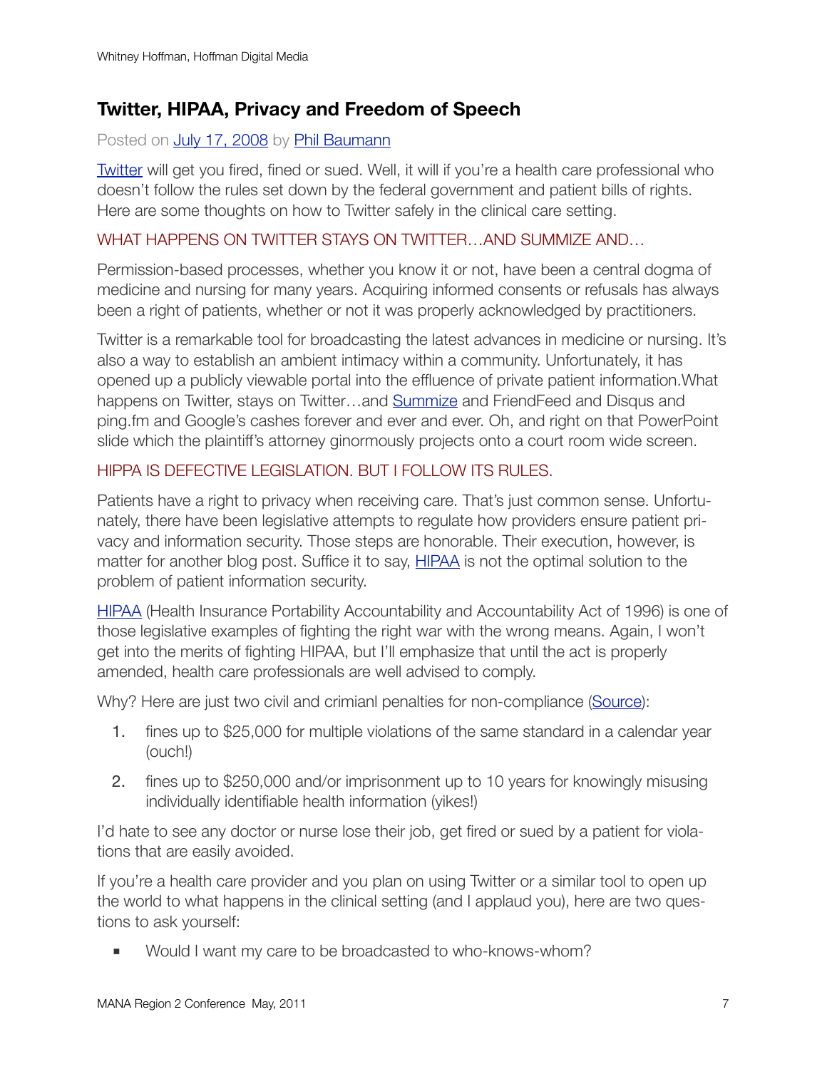### **Twitter, HIPAA, Privacy and Freedom of Speech**

### Posted on [July 17, 2008](http://philbaumann.com/2008/07/17/twitter-hipaa-privacy-and-freedom-of-speech/) by [Phil Baumann](http://philbaumann.com/author/philbaumann/)

[Twitter](http://twitter.com/) will get you fired, fined or sued. Well, it will if you're a health care professional who doesn't follow the rules set down by the federal government and patient bills of rights. Here are some thoughts on how to Twitter safely in the clinical care setting.

### WHAT HAPPENS ON TWITTER STAYS ON TWITTER…AND SUMMIZE AND…

Permission-based processes, whether you know it or not, have been a central dogma of medicine and nursing for many years. Acquiring informed consents or refusals has always been a right of patients, whether or not it was properly acknowledged by practitioners.

Twitter is a remarkable tool for broadcasting the latest advances in medicine or nursing. It's also a way to establish an ambient intimacy within a community. Unfortunately, it has opened up a publicly viewable portal into the effluence of private patient information.What happens on Twitter, stays on Twitter...and [Summize](http://search.twitter.com/) and FriendFeed and Disqus and ping.fm and Google's cashes forever and ever and ever. Oh, and right on that PowerPoint slide which the plaintiff's attorney ginormously projects onto a court room wide screen.

### HIPPA IS DEFECTIVE LEGISLATION. BUT I FOLLOW ITS RULES.

Patients have a right to privacy when receiving care. That's just common sense. Unfortunately, there have been legislative attempts to regulate how providers ensure patient privacy and information security. Those steps are honorable. Their execution, however, is matter for another blog post. Suffice it to say, [HIPAA](http://en.wikipedia.org/wiki/HIPAA) is not the optimal solution to the problem of patient information security.

[HIPAA](http://aspe.hhs.gov/admnsimp/pl104191.htm) (Health Insurance Portability Accountability and Accountability Act of 1996) is one of those legislative examples of fighting the right war with the wrong means. Again, I won't get into the merits of fighting HIPAA, but I'll emphasize that until the act is properly amended, health care professionals are well advised to comply.

Why? Here are just two civil and crimianl penalties for non-compliance ([Source](http://www.hipaadvisory.com/REGS/HIPAAprimer.htm)):

- 1. fines up to \$25,000 for multiple violations of the same standard in a calendar year (ouch!)
- 2. fines up to \$250,000 and/or imprisonment up to 10 years for knowingly misusing individually identifiable health information (yikes!)

I'd hate to see any doctor or nurse lose their job, get fired or sued by a patient for violations that are easily avoided.

If you're a health care provider and you plan on using Twitter or a similar tool to open up the world to what happens in the clinical setting (and I applaud you), here are two questions to ask yourself:

■ Would I want my care to be broadcasted to who-knows-whom?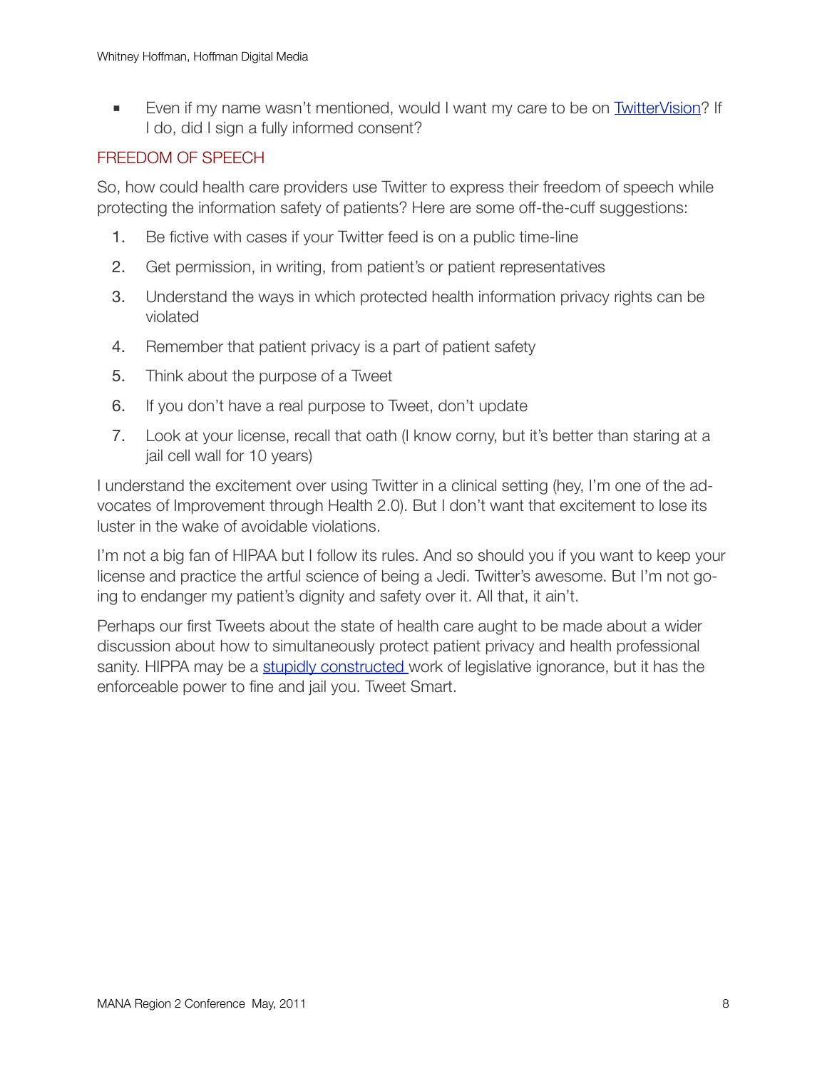■ Even if my name wasn't mentioned, would I want my care to be on [TwitterVision](http://twittervision.com/)? If I do, did I sign a fully informed consent?

### FREEDOM OF SPEECH

So, how could health care providers use Twitter to express their freedom of speech while protecting the information safety of patients? Here are some off-the-cuff suggestions:

- 1. Be fictive with cases if your Twitter feed is on a public time-line
- 2. Get permission, in writing, from patient's or patient representatives
- 3. Understand the ways in which protected health information privacy rights can be violated
- 4. Remember that patient privacy is a part of patient safety
- 5. Think about the purpose of a Tweet
- 6. If you don't have a real purpose to Tweet, don't update
- 7. Look at your license, recall that oath (I know corny, but it's better than staring at a jail cell wall for 10 years)

I understand the excitement over using Twitter in a clinical setting (hey, I'm one of the advocates of Improvement through Health 2.0). But I don't want that excitement to lose its luster in the wake of avoidable violations.

I'm not a big fan of HIPAA but I follow its rules. And so should you if you want to keep your license and practice the artful science of being a Jedi. Twitter's awesome. But I'm not going to endanger my patient's dignity and safety over it. All that, it ain't.

Perhaps our first Tweets about the state of health care aught to be made about a wider discussion about how to simultaneously protect patient privacy and health professional sanity. HIPPA may be a [stupidly constructed w](http://www.huffingtonpost.com/deane-waldman/shoot-hipaa-the-hippo_b_109753.html)ork of legislative ignorance, but it has the enforceable power to fine and jail you. Tweet Smart.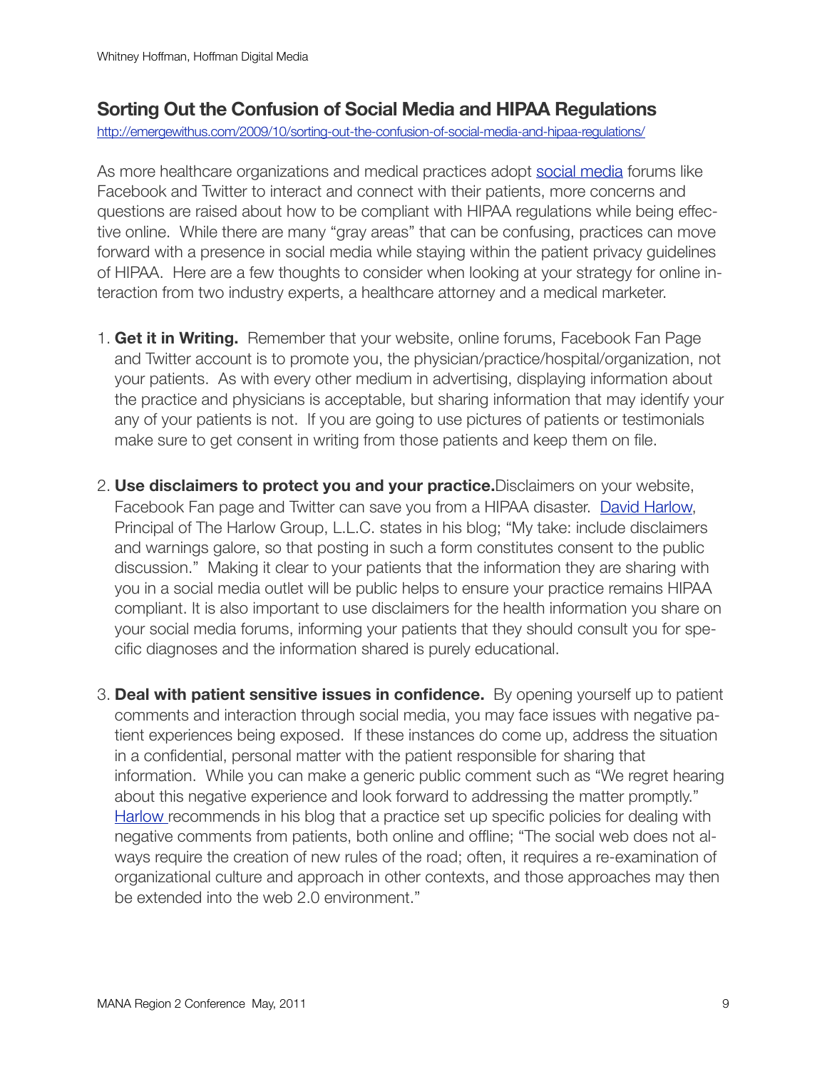### **Sorting Out the Confusion of Social Media and HIPAA Regulations**

<http://emergewithus.com/2009/10/sorting-out-the-confusion-of-social-media-and-hipaa-regulations/>

As more healthcare organizations and medical practices adopt [social media](http://www.wikinvest.com/concept/Social_media) forums like Facebook and Twitter to interact and connect with their patients, more concerns and questions are raised about how to be compliant with HIPAA regulations while being effective online. While there are many "gray areas" that can be confusing, practices can move forward with a presence in social media while staying within the patient privacy guidelines of HIPAA. Here are a few thoughts to consider when looking at your strategy for online interaction from two industry experts, a healthcare attorney and a medical marketer.

- 1. **Get it in Writing.** Remember that your website, online forums, Facebook Fan Page and Twitter account is to promote you, the physician/practice/hospital/organization, not your patients. As with every other medium in advertising, displaying information about the practice and physicians is acceptable, but sharing information that may identify your any of your patients is not. If you are going to use pictures of patients or testimonials make sure to get consent in writing from those patients and keep them on file.
- 2. **Use disclaimers to protect you and your practice.**Disclaimers on your website, Facebook Fan page and Twitter can save you from a HIPAA disaster. [David Harlow,](http://www.harlowgroup.net/) Principal of The Harlow Group, L.L.C. states in his blog; "My take: include disclaimers and warnings galore, so that posting in such a form constitutes consent to the public discussion." Making it clear to your patients that the information they are sharing with you in a social media outlet will be public helps to ensure your practice remains HIPAA compliant. It is also important to use disclaimers for the health information you share on your social media forums, informing your patients that they should consult you for specific diagnoses and the information shared is purely educational.
- 3. **Deal with patient sensitive issues in confidence.** By opening yourself up to patient comments and interaction through social media, you may face issues with negative patient experiences being exposed. If these instances do come up, address the situation in a confidential, personal matter with the patient responsible for sharing that information. While you can make a generic public comment such as "We regret hearing about this negative experience and look forward to addressing the matter promptly." [Harlow r](http://www.harlowgroup.net/)ecommends in his blog that a practice set up specific policies for dealing with negative comments from patients, both online and offline; "The social web does not always require the creation of new rules of the road; often, it requires a re-examination of organizational culture and approach in other contexts, and those approaches may then be extended into the web 2.0 environment."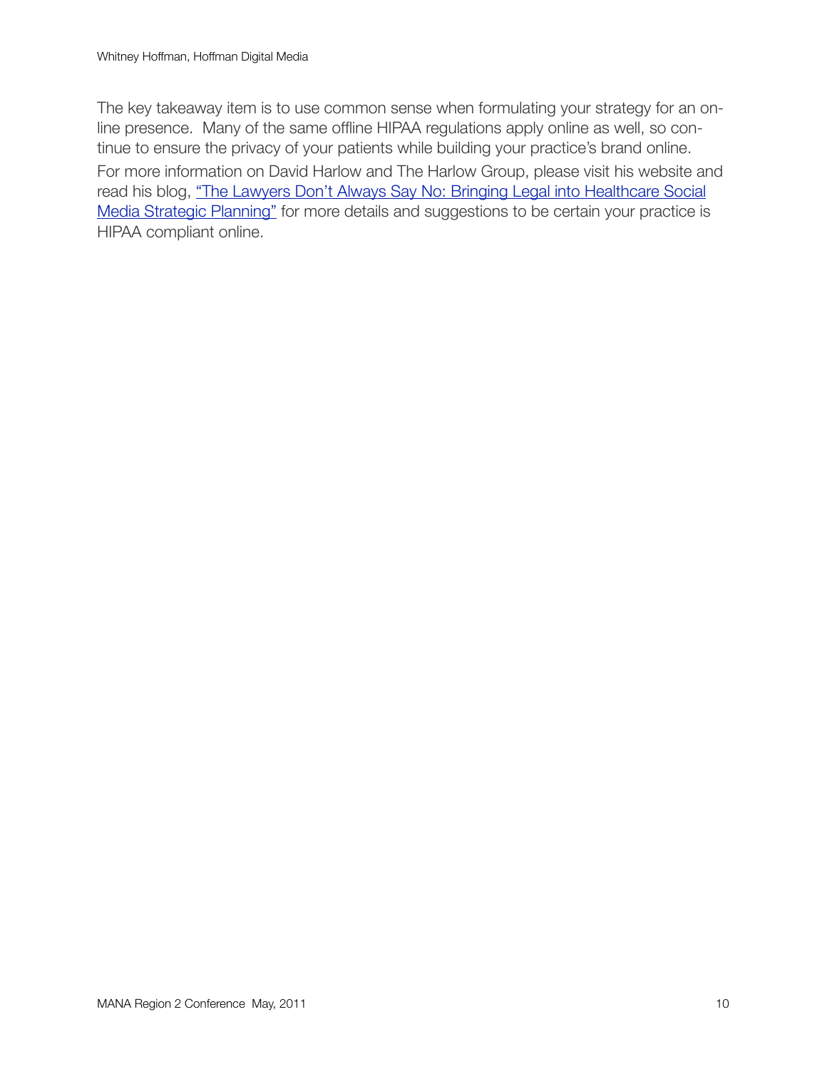The key takeaway item is to use common sense when formulating your strategy for an online presence. Many of the same offline HIPAA regulations apply online as well, so continue to ensure the privacy of your patients while building your practice's brand online. For more information on David Harlow and The Harlow Group, please visit his website and read his blog, "The Lawyers Don't Always Say No: Bringing Legal into Healthcare Social [Media Strategic Planning"](http://healthblawg.typepad.com/healthblawg/2009/07/bringing-legal-into-healthcare-social-media-strategic-planning.html) for more details and suggestions to be certain your practice is HIPAA compliant online.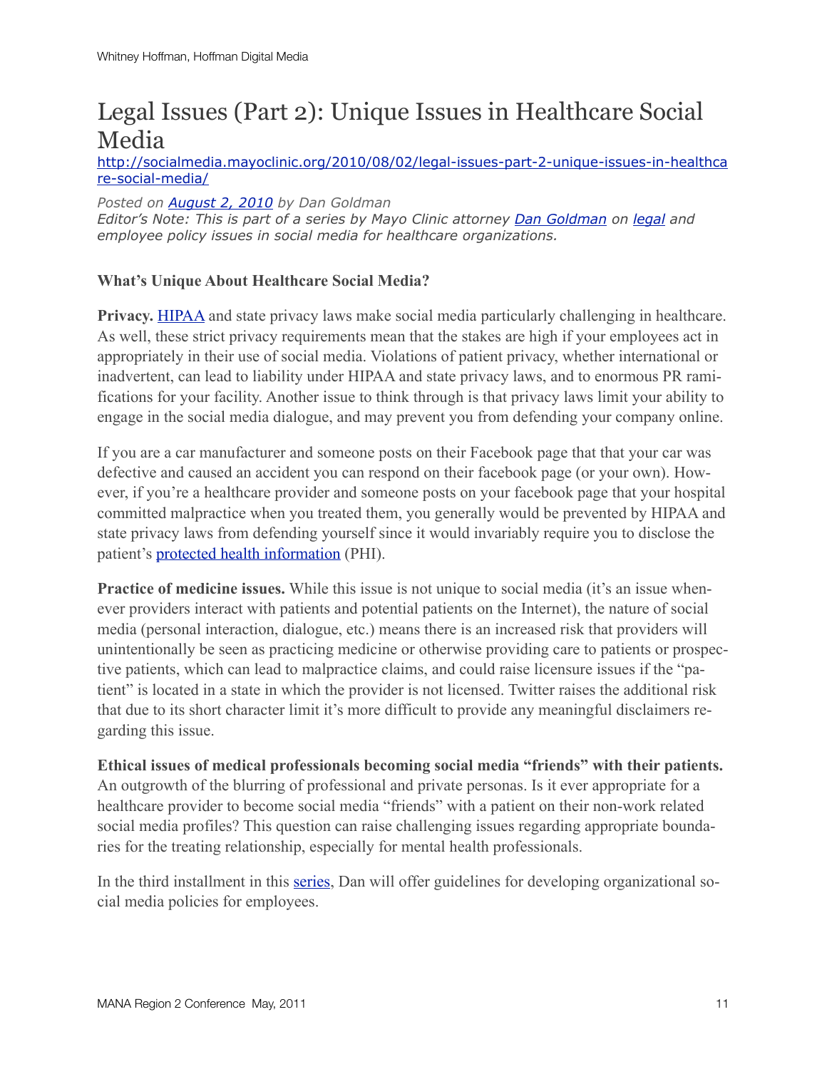### Legal Issues (Part 2): Unique Issues in Healthcare Social Media

[http://socialmedia.mayoclinic.org/2010/08/02/legal-issues-part-2-unique-issues-in-healthca](http://socialmedia.mayoclinic.org/2010/08/02/legal-issues-part-2-unique-issues-in-healthcare-social-media/) [re-social-media/](http://socialmedia.mayoclinic.org/2010/08/02/legal-issues-part-2-unique-issues-in-healthcare-social-media/)

*Posted on [August 2, 2010](http://socialmedia.mayoclinic.org/2010/08/02/legal-issues-part-2-unique-issues-in-healthcare-social-media/) by Dan Goldman Editor's Note: This is part of a series by Mayo Clinic attorney [Dan Goldman](http://twitter.com/danielg280) on [legal](http://socialmedia.mayoclinic.org/category/legal/) and employee policy issues in social media for healthcare organizations.*

### **What's Unique About Healthcare Social Media?**

**Privacy.** [HIPAA](http://www.hhs.gov/ocr/privacy/) and state privacy laws make social media particularly challenging in healthcare. As well, these strict privacy requirements mean that the stakes are high if your employees act in appropriately in their use of social media. Violations of patient privacy, whether international or inadvertent, can lead to liability under HIPAA and state privacy laws, and to enormous PR ramifications for your facility. Another issue to think through is that privacy laws limit your ability to engage in the social media dialogue, and may prevent you from defending your company online.

If you are a car manufacturer and someone posts on their Facebook page that that your car was defective and caused an accident you can respond on their facebook page (or your own). However, if you're a healthcare provider and someone posts on your facebook page that your hospital committed malpractice when you treated them, you generally would be prevented by HIPAA and state privacy laws from defending yourself since it would invariably require you to disclose the patient's [protected health information](http://www.hhs.gov/ocr/privacy/hipaa/understanding/summary/index.html) (PHI).

**Practice of medicine issues.** While this issue is not unique to social media (it's an issue whenever providers interact with patients and potential patients on the Internet), the nature of social media (personal interaction, dialogue, etc.) means there is an increased risk that providers will unintentionally be seen as practicing medicine or otherwise providing care to patients or prospective patients, which can lead to malpractice claims, and could raise licensure issues if the "patient" is located in a state in which the provider is not licensed. Twitter raises the additional risk that due to its short character limit it's more difficult to provide any meaningful disclaimers regarding this issue.

**Ethical issues of medical professionals becoming social media "friends" with their patients.** An outgrowth of the blurring of professional and private personas. Is it ever appropriate for a healthcare provider to become social media "friends" with a patient on their non-work related social media profiles? This question can raise challenging issues regarding appropriate boundaries for the treating relationship, especially for mental health professionals.

In the third installment in this [series,](http://socialmedia.mayoclinic.org/category/legal/) Dan will offer guidelines for developing organizational social media policies for employees.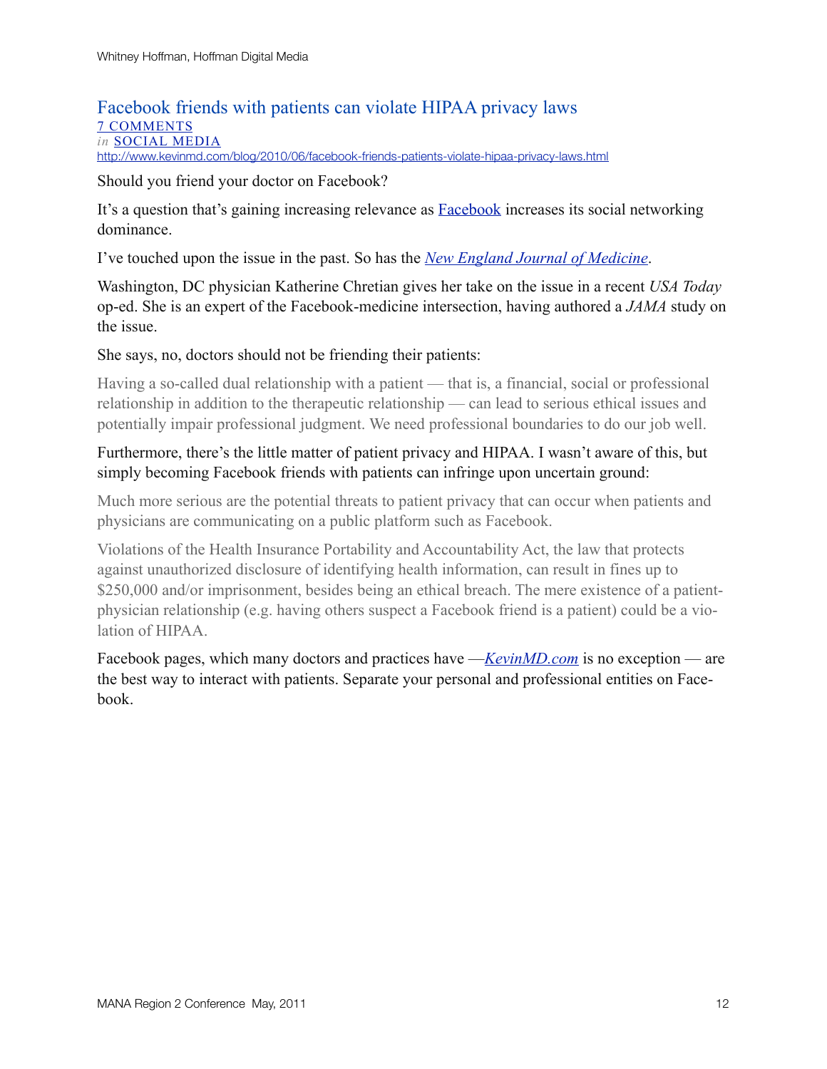### Facebook friends with patients can violate HIPAA privacy laws [7 COMMENTS](http://www.kevinmd.com/blog/2010/06/facebook-friends-patients-violate-hipaa-privacy-laws.html#comments) *in* [SOCIAL MEDIA](http://www.kevinmd.com/blog/category/social-media)

<http://www.kevinmd.com/blog/2010/06/facebook-friends-patients-violate-hipaa-privacy-laws.html>

Should you friend your doctor on Facebook?

It's a question that's gaining increasing relevance as [Facebook](http://www.kevinmd.com/blog/2009/08/should-doctors-friend-their-patients-on-facebook.html) increases its social networking dominance.

I've touched upon the issue in the past. So has the *[New England Journal of Medicine](http://content.nejm.org/cgi/content/full/361/7/649)*.

Washington, DC physician Katherine Chretian gives her take on the issue in a recent *USA Today* op-ed. She is an expert of the Facebook-medicine intersection, having authored a *JAMA* study on the issue.

### She says, no, doctors should not be friending their patients:

Having a so-called dual relationship with a patient — that is, a financial, social or professional relationship in addition to the therapeutic relationship — can lead to serious ethical issues and potentially impair professional judgment. We need professional boundaries to do our job well.

### Furthermore, there's the little matter of patient privacy and HIPAA. I wasn't aware of this, but simply becoming Facebook friends with patients can infringe upon uncertain ground:

Much more serious are the potential threats to patient privacy that can occur when patients and physicians are communicating on a public platform such as Facebook.

Violations of the Health Insurance Portability and Accountability Act, the law that protects against unauthorized disclosure of identifying health information, can result in fines up to \$250,000 and/or imprisonment, besides being an ethical breach. The mere existence of a patientphysician relationship (e.g. having others suspect a Facebook friend is a patient) could be a violation of HIPAA.

Facebook pages, which many doctors and practices have —*[KevinMD.com](http://www.facebook.com/kevinmdblog)* is no exception — are the best way to interact with patients. Separate your personal and professional entities on Facebook.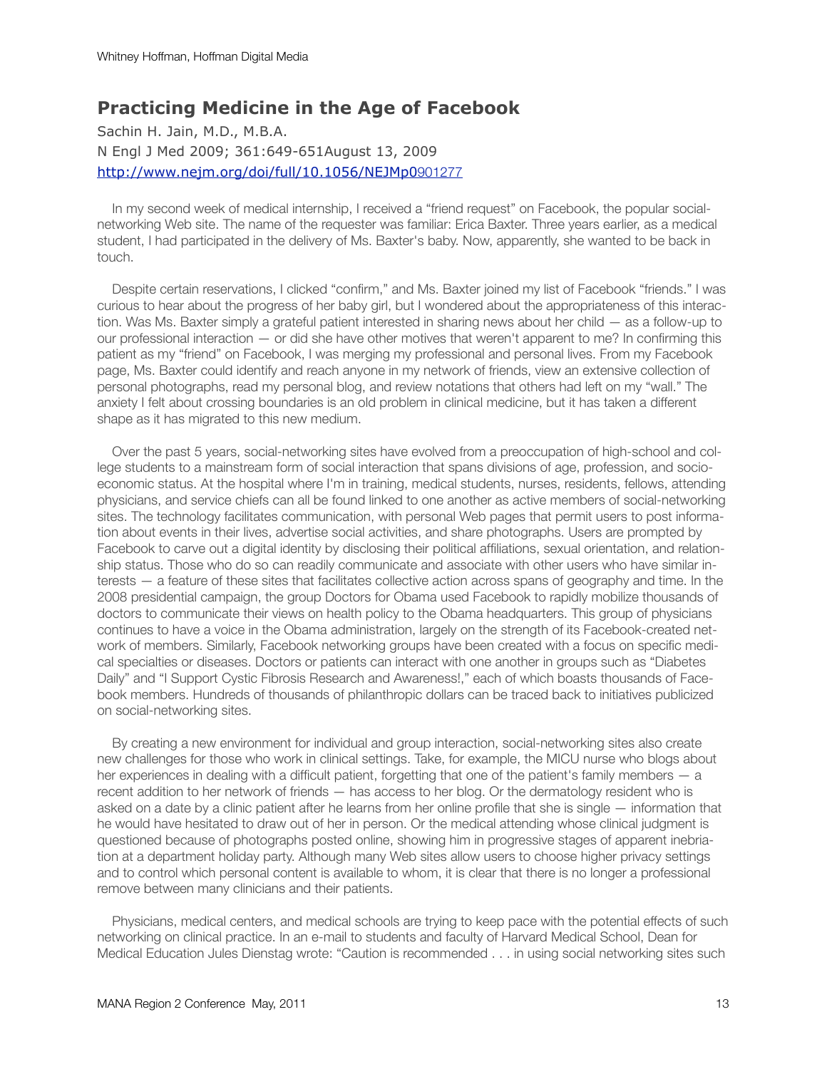### **Practicing Medicine in the Age of Facebook**

Sachin H. Jain, M.D., M.B.A. N Engl J Med 2009; 361:649-651August 13, 2009 [http://www.nejm.org/doi/full/10.1056/NEJMp0](http://www.nejm.org/doi/full/10.1056/NEJMp0901277)901277

 In my second week of medical internship, I received a "friend request" on Facebook, the popular socialnetworking Web site. The name of the requester was familiar: Erica Baxter. Three years earlier, as a medical student, I had participated in the delivery of Ms. Baxter's baby. Now, apparently, she wanted to be back in touch.

 Despite certain reservations, I clicked "confirm," and Ms. Baxter joined my list of Facebook "friends." I was curious to hear about the progress of her baby girl, but I wondered about the appropriateness of this interaction. Was Ms. Baxter simply a grateful patient interested in sharing news about her child — as a follow-up to our professional interaction — or did she have other motives that weren't apparent to me? In confirming this patient as my "friend" on Facebook, I was merging my professional and personal lives. From my Facebook page, Ms. Baxter could identify and reach anyone in my network of friends, view an extensive collection of personal photographs, read my personal blog, and review notations that others had left on my "wall." The anxiety I felt about crossing boundaries is an old problem in clinical medicine, but it has taken a different shape as it has migrated to this new medium.

 Over the past 5 years, social-networking sites have evolved from a preoccupation of high-school and college students to a mainstream form of social interaction that spans divisions of age, profession, and socioeconomic status. At the hospital where I'm in training, medical students, nurses, residents, fellows, attending physicians, and service chiefs can all be found linked to one another as active members of social-networking sites. The technology facilitates communication, with personal Web pages that permit users to post information about events in their lives, advertise social activities, and share photographs. Users are prompted by Facebook to carve out a digital identity by disclosing their political affiliations, sexual orientation, and relationship status. Those who do so can readily communicate and associate with other users who have similar interests — a feature of these sites that facilitates collective action across spans of geography and time. In the 2008 presidential campaign, the group Doctors for Obama used Facebook to rapidly mobilize thousands of doctors to communicate their views on health policy to the Obama headquarters. This group of physicians continues to have a voice in the Obama administration, largely on the strength of its Facebook-created network of members. Similarly, Facebook networking groups have been created with a focus on specific medical specialties or diseases. Doctors or patients can interact with one another in groups such as "Diabetes Daily" and "I Support Cystic Fibrosis Research and Awareness!," each of which boasts thousands of Facebook members. Hundreds of thousands of philanthropic dollars can be traced back to initiatives publicized on social-networking sites.

 By creating a new environment for individual and group interaction, social-networking sites also create new challenges for those who work in clinical settings. Take, for example, the MICU nurse who blogs about her experiences in dealing with a difficult patient, forgetting that one of the patient's family members — a recent addition to her network of friends — has access to her blog. Or the dermatology resident who is asked on a date by a clinic patient after he learns from her online profile that she is single — information that he would have hesitated to draw out of her in person. Or the medical attending whose clinical judgment is questioned because of photographs posted online, showing him in progressive stages of apparent inebriation at a department holiday party. Although many Web sites allow users to choose higher privacy settings and to control which personal content is available to whom, it is clear that there is no longer a professional remove between many clinicians and their patients.

 Physicians, medical centers, and medical schools are trying to keep pace with the potential effects of such networking on clinical practice. In an e-mail to students and faculty of Harvard Medical School, Dean for Medical Education Jules Dienstag wrote: "Caution is recommended . . . in using social networking sites such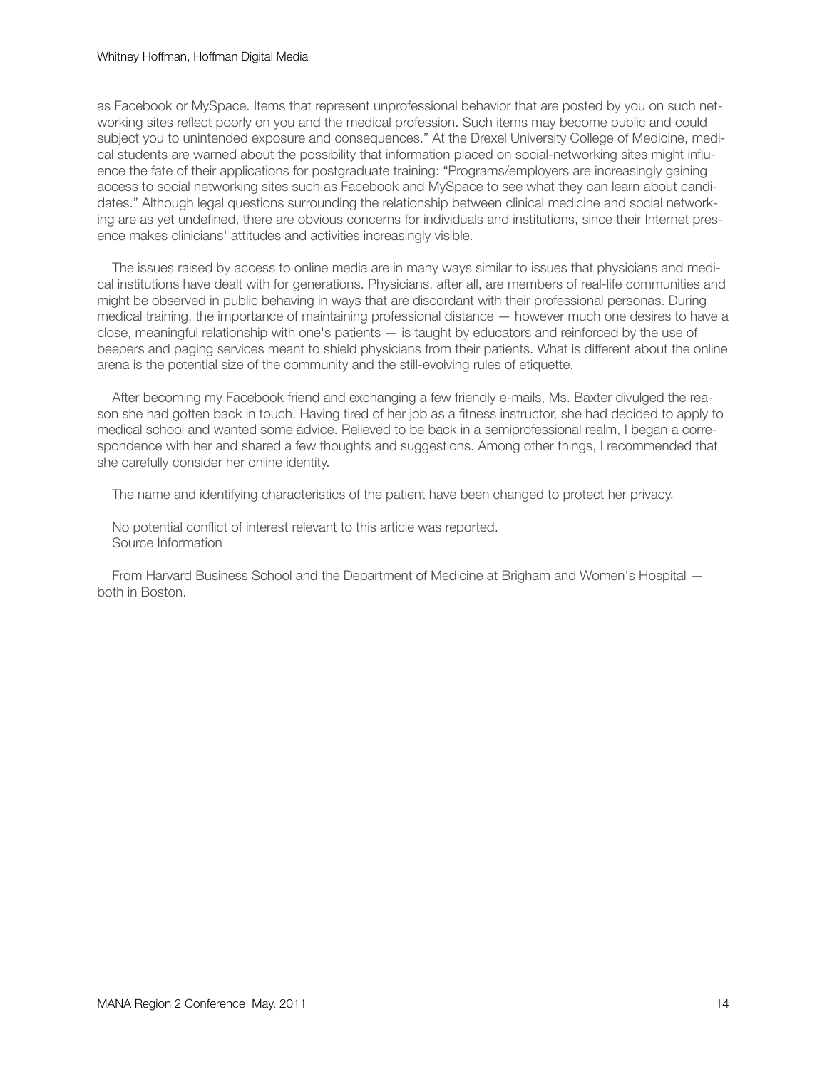#### Whitney Hoffman, Hoffman Digital Media

as Facebook or MySpace. Items that represent unprofessional behavior that are posted by you on such networking sites reflect poorly on you and the medical profession. Such items may become public and could subject you to unintended exposure and consequences." At the Drexel University College of Medicine, medical students are warned about the possibility that information placed on social-networking sites might influence the fate of their applications for postgraduate training: "Programs/employers are increasingly gaining access to social networking sites such as Facebook and MySpace to see what they can learn about candidates." Although legal questions surrounding the relationship between clinical medicine and social networking are as yet undefined, there are obvious concerns for individuals and institutions, since their Internet presence makes clinicians' attitudes and activities increasingly visible.

 The issues raised by access to online media are in many ways similar to issues that physicians and medical institutions have dealt with for generations. Physicians, after all, are members of real-life communities and might be observed in public behaving in ways that are discordant with their professional personas. During medical training, the importance of maintaining professional distance — however much one desires to have a close, meaningful relationship with one's patients — is taught by educators and reinforced by the use of beepers and paging services meant to shield physicians from their patients. What is different about the online arena is the potential size of the community and the still-evolving rules of etiquette.

 After becoming my Facebook friend and exchanging a few friendly e-mails, Ms. Baxter divulged the reason she had gotten back in touch. Having tired of her job as a fitness instructor, she had decided to apply to medical school and wanted some advice. Relieved to be back in a semiprofessional realm, I began a correspondence with her and shared a few thoughts and suggestions. Among other things, I recommended that she carefully consider her online identity.

The name and identifying characteristics of the patient have been changed to protect her privacy.

 No potential conflict of interest relevant to this article was reported. Source Information

 From Harvard Business School and the Department of Medicine at Brigham and Women's Hospital both in Boston.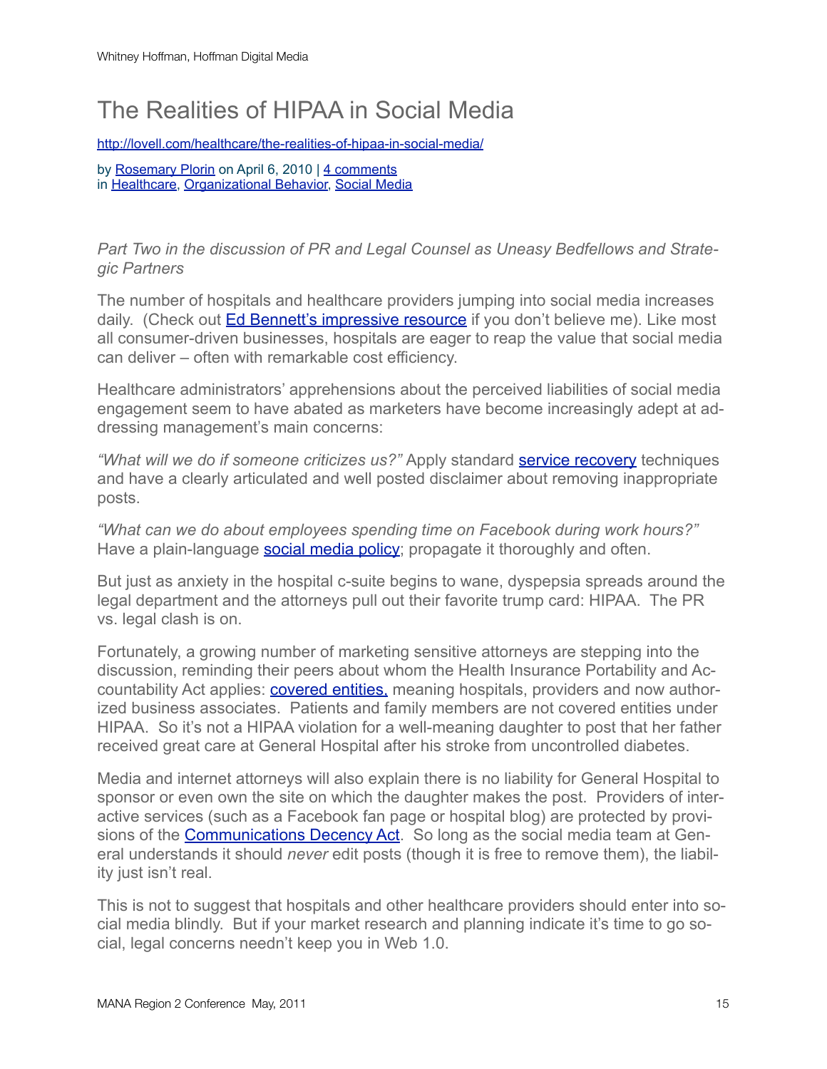### The Realities of HIPAA in Social Media

<http://lovell.com/healthcare/the-realities-of-hipaa-in-social-media/>

by [Rosemary Plorin](http://lovell.com/author/rosemary-plorin/) on April 6, 2010 | [4 comments](http://lovell.com/healthcare/the-realities-of-hipaa-in-social-media/#comments) in [Healthcare,](http://lovell.com/category/healthcare/) [Organizational Behavior,](http://lovell.com/category/organizational-behavior/) [Social Media](http://lovell.com/category/social-media/)

*Part Two in the discussion of PR and Legal Counsel as Uneasy Bedfellows and Strategic Partners*

The number of hospitals and healthcare providers jumping into social media increases daily. (Check out [Ed Bennett's impressive resource](http://ebennett.org/hsnl/) if you don't believe me). Like most all consumer-driven businesses, hospitals are eager to reap the value that social media can deliver – often with remarkable cost efficiency.

Healthcare administrators' apprehensions about the perceived liabilities of social media engagement seem to have abated as marketers have become increasingly adept at addressing management's main concerns:

*"What will we do if someone criticizes us?"* Apply standard [service recovery](http://www.studergroup.com/servicerecovery) techniques and have a clearly articulated and well posted disclaimer about removing inappropriate posts.

*"What can we do about employees spending time on Facebook during work hours?"* Have a plain-language **social media policy**; propagate it thoroughly and often.

But just as anxiety in the hospital c-suite begins to wane, dyspepsia spreads around the legal department and the attorneys pull out their favorite trump card: HIPAA. The PR vs. legal clash is on.

Fortunately, a growing number of marketing sensitive attorneys are stepping into the discussion, reminding their peers about whom the Health Insurance Portability and Accountability Act applies: **covered entities**, meaning hospitals, providers and now authorized business associates. Patients and family members are not covered entities under HIPAA. So it's not a HIPAA violation for a well-meaning daughter to post that her father received great care at General Hospital after his stroke from uncontrolled diabetes.

Media and internet attorneys will also explain there is no liability for General Hospital to sponsor or even own the site on which the daughter makes the post. Providers of interactive services (such as a Facebook fan page or hospital blog) are protected by provisions of the **[Communications Decency Act](http://www.law.cornell.edu/uscode/47/usc_sec_47_00000231----000-.html)**. So long as the social media team at General understands it should *never* edit posts (though it is free to remove them), the liability just isn't real.

This is not to suggest that hospitals and other healthcare providers should enter into social media blindly. But if your market research and planning indicate it's time to go social, legal concerns needn't keep you in Web 1.0.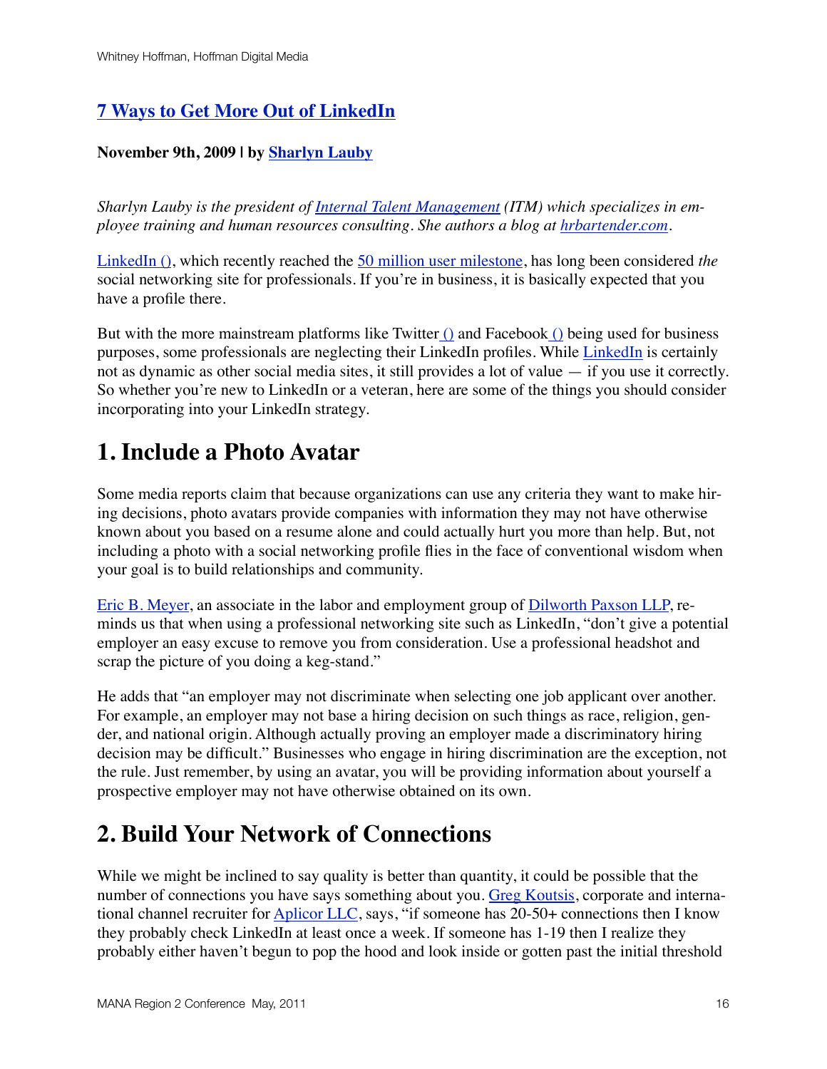### **[7 Ways to Get More Out of LinkedIn](http://mashable.com/2009/11/09/linkedin-tips/)**

### **November 9th, 2009 | by [Sharlyn Lauby](http://mashable.com/author/sharlyn-lauby/)**

*Sharlyn Lauby is the president of [Internal Talent Management](http://www.itmgroupinc.com/) (ITM) which specializes in employee training and human resources consulting. She authors a blog at [hrbartender.com.](http://www.hrbartender.com/)*

[LinkedIn](http://www.linkedin.com/) [\(\),](http://api.blippr.com/apps/337623-LinkedIn) which recently reached the [50 million user milestone](http://mashable.com/2009/10/14/linkedin-50-millon/), has long been considered *the* social networking site for professionals. If you're in business, it is basically expected that you have a profile there.

But with the more mainstream platforms like Twitte[r \(\)](http://api.blippr.com/apps/336651-Twitter) and Faceboo[k \(\)](http://api.blippr.com/apps/336650-Facebook) being used for business purposes, some professionals are neglecting their LinkedIn profiles. While [LinkedIn](http://mashable.com/tag/linkedin/) is certainly not as dynamic as other social media sites, it still provides a lot of value — if you use it correctly. So whether you're new to LinkedIn or a veteran, here are some of the things you should consider incorporating into your LinkedIn strategy.

### **1. Include a Photo Avatar**

Some media reports claim that because organizations can use any criteria they want to make hiring decisions, photo avatars provide companies with information they may not have otherwise known about you based on a resume alone and could actually hurt you more than help. But, not including a photo with a social networking profile flies in the face of conventional wisdom when your goal is to build relationships and community.

[Eric B. Meyer,](http://www.linkedin.com/in/emeyer) an associate in the labor and employment group of [Dilworth Paxson LLP](http://www.dilworthlaw.com/), reminds us that when using a professional networking site such as LinkedIn, "don't give a potential employer an easy excuse to remove you from consideration. Use a professional headshot and scrap the picture of you doing a keg-stand."

He adds that "an employer may not discriminate when selecting one job applicant over another. For example, an employer may not base a hiring decision on such things as race, religion, gender, and national origin. Although actually proving an employer made a discriminatory hiring decision may be difficult." Businesses who engage in hiring discrimination are the exception, not the rule. Just remember, by using an avatar, you will be providing information about yourself a prospective employer may not have otherwise obtained on its own.

### **2. Build Your Network of Connections**

While we might be inclined to say quality is better than quantity, it could be possible that the number of connections you have says something about you. [Greg Koutsis,](http://www.linkedin.com/in/gregkoutsis) corporate and international channel recruiter for [Aplicor LLC,](http://www.aplicor.com/) says, "if someone has 20-50+ connections then I know they probably check LinkedIn at least once a week. If someone has 1-19 then I realize they probably either haven't begun to pop the hood and look inside or gotten past the initial threshold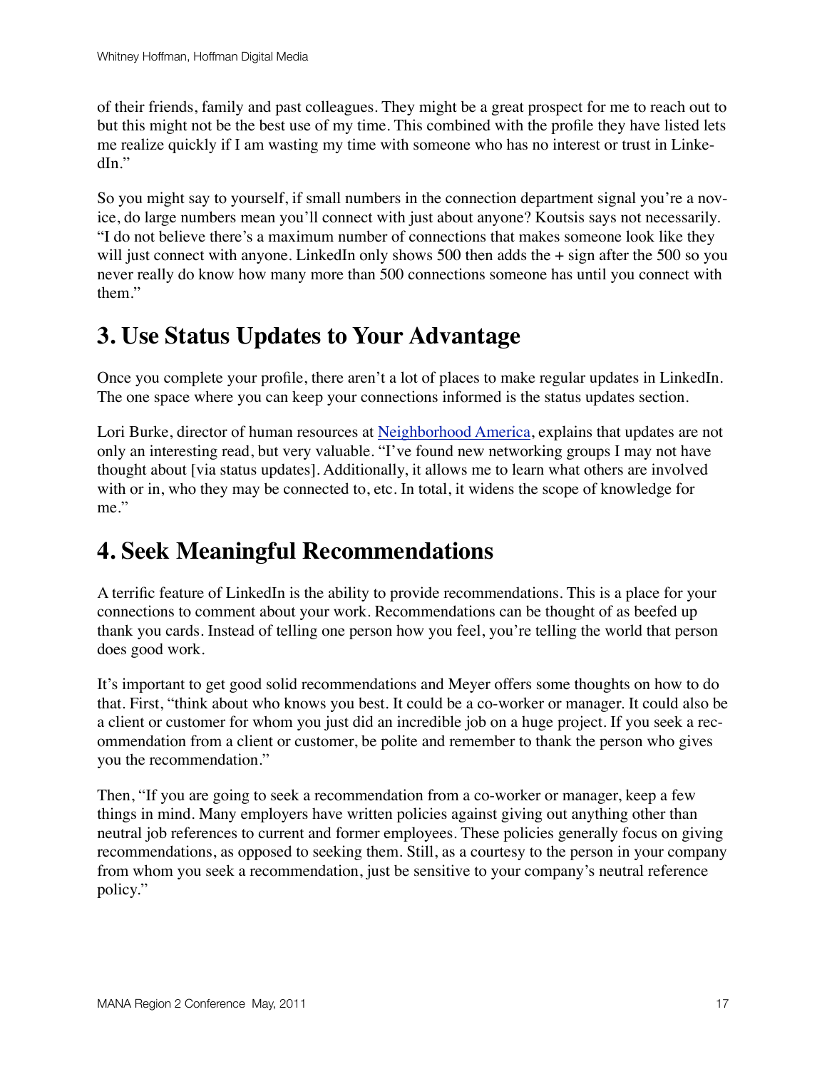of their friends, family and past colleagues. They might be a great prospect for me to reach out to but this might not be the best use of my time. This combined with the profile they have listed lets me realize quickly if I am wasting my time with someone who has no interest or trust in LinkedIn."

So you might say to yourself, if small numbers in the connection department signal you're a novice, do large numbers mean you'll connect with just about anyone? Koutsis says not necessarily. "I do not believe there's a maximum number of connections that makes someone look like they will just connect with anyone. LinkedIn only shows 500 then adds the  $+$  sign after the 500 so you never really do know how many more than 500 connections someone has until you connect with them."

### **3. Use Status Updates to Your Advantage**

Once you complete your profile, there aren't a lot of places to make regular updates in LinkedIn. The one space where you can keep your connections informed is the status updates section.

Lori Burke, director of human resources at [Neighborhood America,](http://www.neighborhoodamerica.com/) explains that updates are not only an interesting read, but very valuable. "I've found new networking groups I may not have thought about [via status updates]. Additionally, it allows me to learn what others are involved with or in, who they may be connected to, etc. In total, it widens the scope of knowledge for me."

### **4. Seek Meaningful Recommendations**

A terrific feature of LinkedIn is the ability to provide recommendations. This is a place for your connections to comment about your work. Recommendations can be thought of as beefed up thank you cards. Instead of telling one person how you feel, you're telling the world that person does good work.

It's important to get good solid recommendations and Meyer offers some thoughts on how to do that. First, "think about who knows you best. It could be a co-worker or manager. It could also be a client or customer for whom you just did an incredible job on a huge project. If you seek a recommendation from a client or customer, be polite and remember to thank the person who gives you the recommendation."

Then, "If you are going to seek a recommendation from a co-worker or manager, keep a few things in mind. Many employers have written policies against giving out anything other than neutral job references to current and former employees. These policies generally focus on giving recommendations, as opposed to seeking them. Still, as a courtesy to the person in your company from whom you seek a recommendation, just be sensitive to your company's neutral reference policy."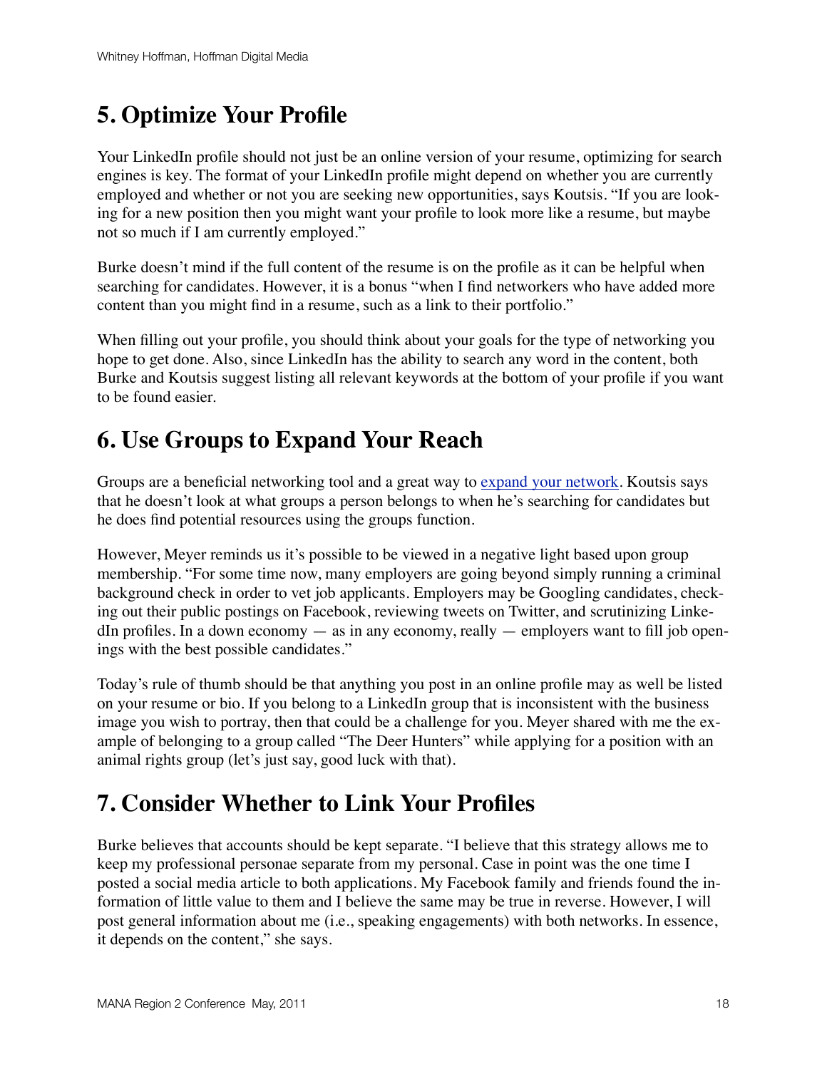### **5. Optimize Your Profile**

Your LinkedIn profile should not just be an online version of your resume, optimizing for search engines is key. The format of your LinkedIn profile might depend on whether you are currently employed and whether or not you are seeking new opportunities, says Koutsis. "If you are looking for a new position then you might want your profile to look more like a resume, but maybe not so much if I am currently employed."

Burke doesn't mind if the full content of the resume is on the profile as it can be helpful when searching for candidates. However, it is a bonus "when I find networkers who have added more content than you might find in a resume, such as a link to their portfolio."

When filling out your profile, you should think about your goals for the type of networking you hope to get done. Also, since LinkedIn has the ability to search any word in the content, both Burke and Koutsis suggest listing all relevant keywords at the bottom of your profile if you want to be found easier.

### **6. Use Groups to Expand Your Reach**

Groups are a beneficial networking tool and a great way to [expand your network](http://mashable.com/2009/03/20/linkedin-groups-marketing-features/). Koutsis says that he doesn't look at what groups a person belongs to when he's searching for candidates but he does find potential resources using the groups function.

However, Meyer reminds us it's possible to be viewed in a negative light based upon group membership. "For some time now, many employers are going beyond simply running a criminal background check in order to vet job applicants. Employers may be Googling candidates, checking out their public postings on Facebook, reviewing tweets on Twitter, and scrutinizing LinkedIn profiles. In a down economy  $-$  as in any economy, really  $-$  employers want to fill job openings with the best possible candidates."

Today's rule of thumb should be that anything you post in an online profile may as well be listed on your resume or bio. If you belong to a LinkedIn group that is inconsistent with the business image you wish to portray, then that could be a challenge for you. Meyer shared with me the example of belonging to a group called "The Deer Hunters" while applying for a position with an animal rights group (let's just say, good luck with that).

### **7. Consider Whether to Link Your Profiles**

Burke believes that accounts should be kept separate. "I believe that this strategy allows me to keep my professional personae separate from my personal. Case in point was the one time I posted a social media article to both applications. My Facebook family and friends found the information of little value to them and I believe the same may be true in reverse. However, I will post general information about me (i.e., speaking engagements) with both networks. In essence, it depends on the content," she says.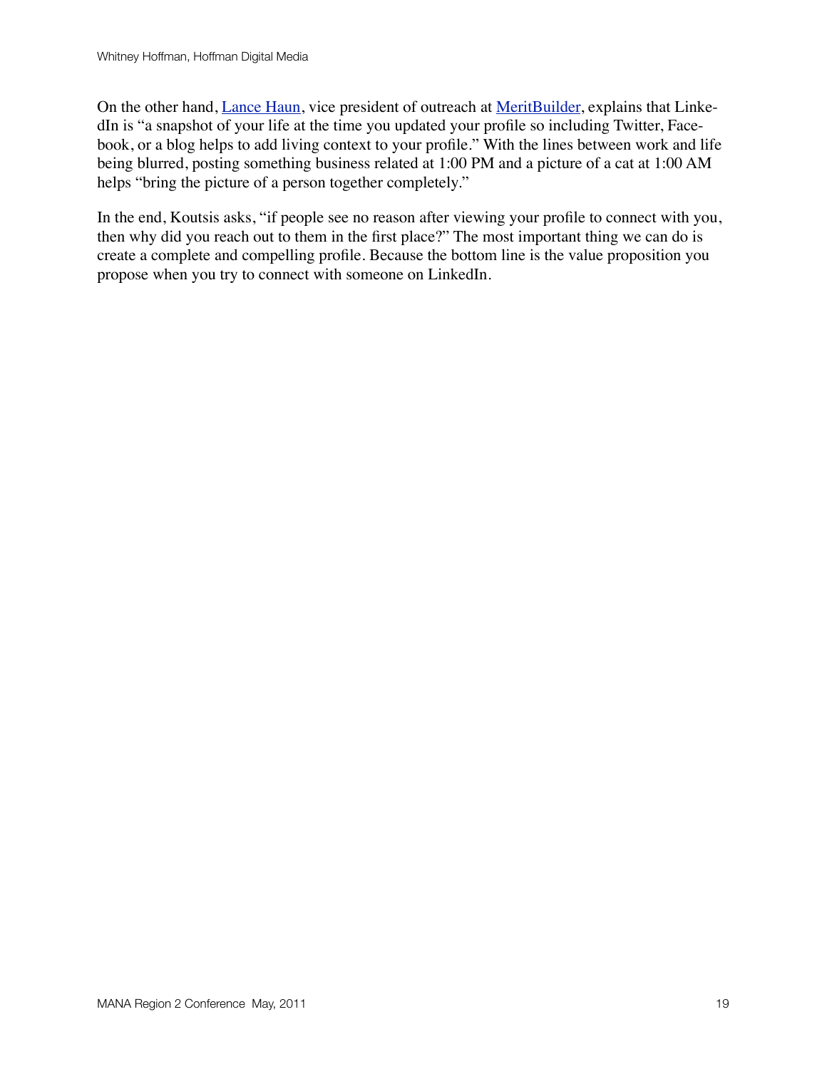On the other hand, [Lance Haun,](http://twitter.com/thelance) vice president of outreach at [MeritBuilder,](http://www.meritbuilder.com/) explains that LinkedIn is "a snapshot of your life at the time you updated your profile so including Twitter, Facebook, or a blog helps to add living context to your profile." With the lines between work and life being blurred, posting something business related at 1:00 PM and a picture of a cat at 1:00 AM helps "bring the picture of a person together completely."

In the end, Koutsis asks, "if people see no reason after viewing your profile to connect with you, then why did you reach out to them in the first place?" The most important thing we can do is create a complete and compelling profile. Because the bottom line is the value proposition you propose when you try to connect with someone on LinkedIn.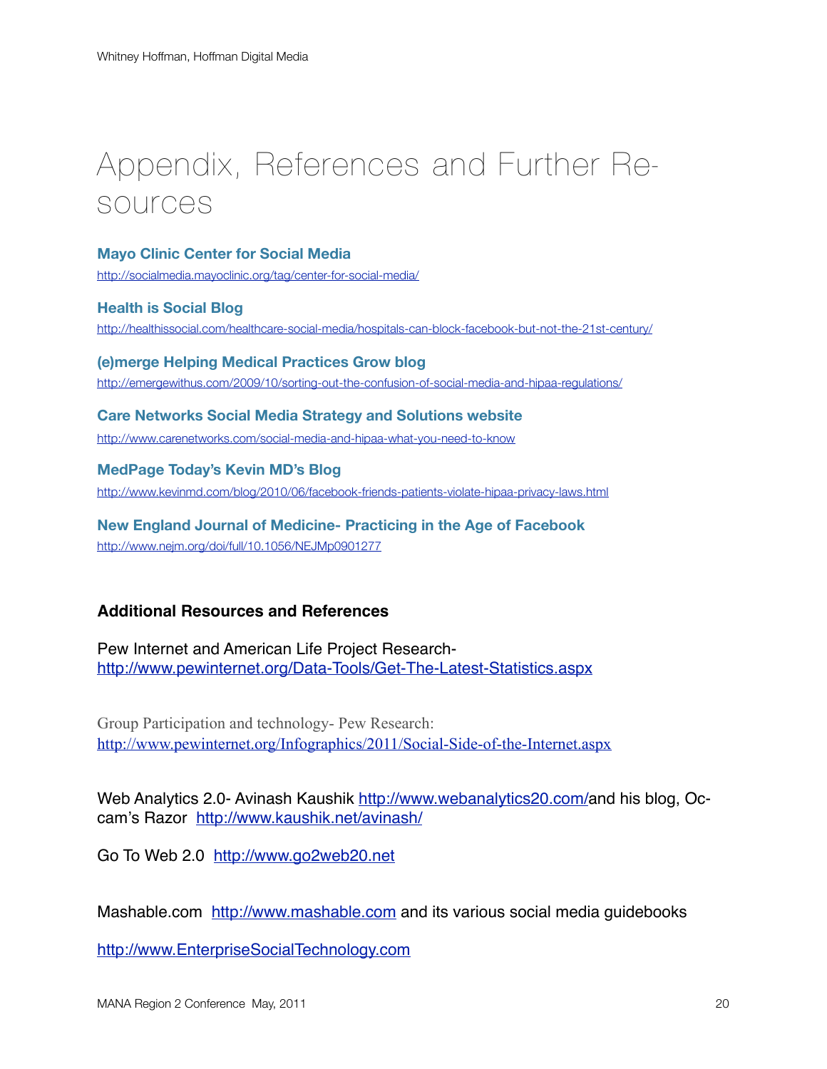## Appendix, References and Further Resources

#### **Mayo Clinic Center for Social Media**

<http://socialmedia.mayoclinic.org/tag/center-for-social-media/>

**Health is Social Blog** <http://healthissocial.com/healthcare-social-media/hospitals-can-block-facebook-but-not-the-21st-century/>

**(e)merge Helping Medical Practices Grow blog** <http://emergewithus.com/2009/10/sorting-out-the-confusion-of-social-media-and-hipaa-regulations/>

### **Care Networks Social Media Strategy and Solutions website** <http://www.carenetworks.com/social-media-and-hipaa-what-you-need-to-know>

**MedPage Today's Kevin MD's Blog**

<http://www.kevinmd.com/blog/2010/06/facebook-friends-patients-violate-hipaa-privacy-laws.html>

**New England Journal of Medicine- Practicing in the Age of Facebook** <http://www.nejm.org/doi/full/10.1056/NEJMp0901277>

### **Additional Resources and References**

Pew Internet and American Life Project Research<http://www.pewinternet.org/Data-Tools/Get-The-Latest-Statistics.aspx>

Group Participation and technology- Pew Research: <http://www.pewinternet.org/Infographics/2011/Social-Side-of-the-Internet.aspx>

Web Analytics 2.0- Avinash Kaushik [http://www.webanalytics20.com/a](http://www.webanalytics20.com/)nd his blog, Occam's Razor <http://www.kaushik.net/avinash/>

Go To Web 2.0 <http://www.go2web20.net>

Mashable.com <http://www.mashable.com> and its various social media guidebooks

<http://www.EnterpriseSocialTechnology.com>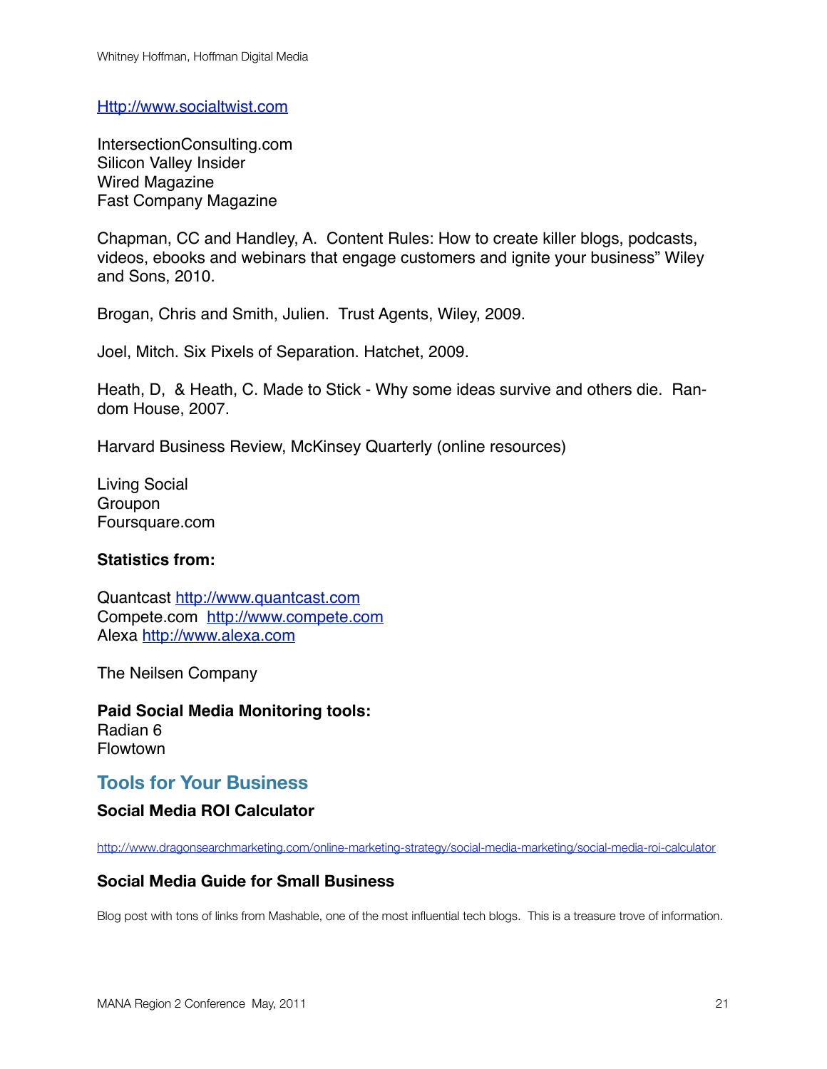<Http://www.socialtwist.com>

IntersectionConsulting.com Silicon Valley Insider Wired Magazine Fast Company Magazine

Chapman, CC and Handley, A. Content Rules: How to create killer blogs, podcasts, videos, ebooks and webinars that engage customers and ignite your business" Wiley and Sons, 2010.

Brogan, Chris and Smith, Julien. Trust Agents, Wiley, 2009.

Joel, Mitch. Six Pixels of Separation. Hatchet, 2009.

Heath, D, & Heath, C. Made to Stick - Why some ideas survive and others die. Random House, 2007.

Harvard Business Review, McKinsey Quarterly (online resources)

Living Social Groupon Foursquare.com

#### **Statistics from:**

Quantcast<http://www.quantcast.com> Compete.com <http://www.compete.com> Alexa<http://www.alexa.com>

The Neilsen Company

**Paid Social Media Monitoring tools:** Radian 6 Flowtown

### **Tools for Your Business**

#### **Social Media ROI Calculator**

<http://www.dragonsearchmarketing.com/online-marketing-strategy/social-media-marketing/social-media-roi-calculator>

#### **Social Media Guide for Small Business**

Blog post with tons of links from Mashable, one of the most influential tech blogs. This is a treasure trove of information.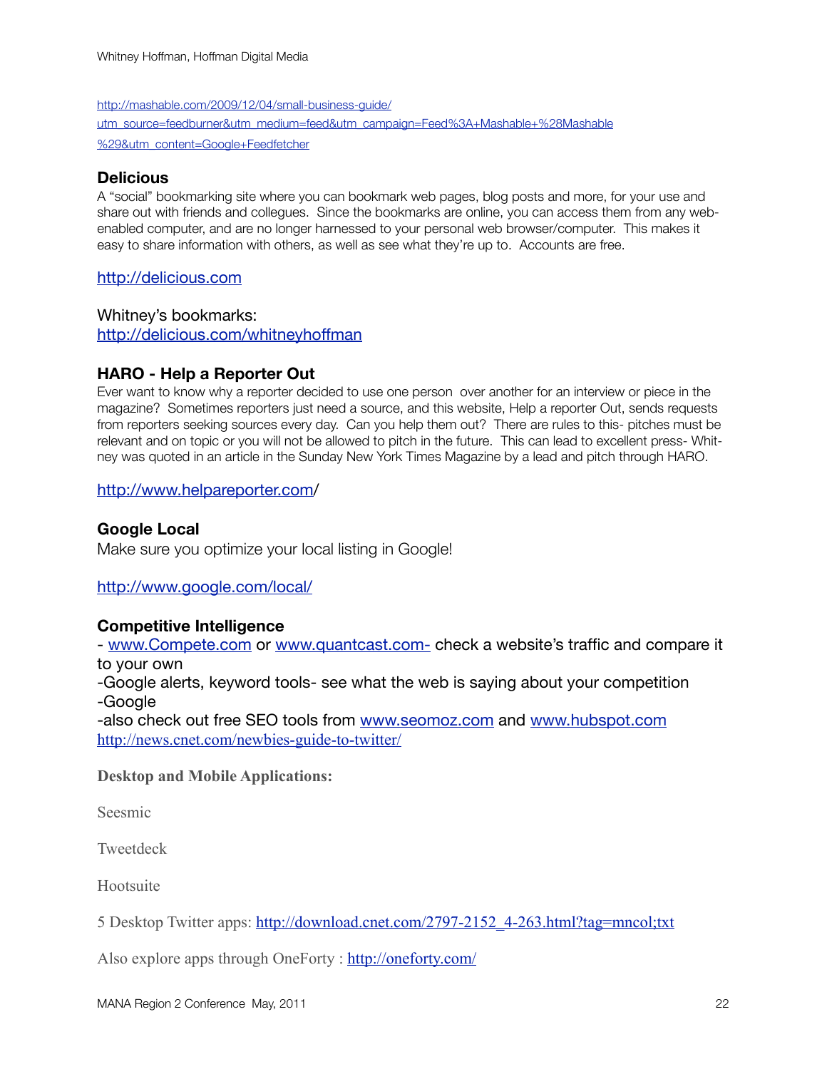[http://mashable.com/2009/12/04/small-business-guide/](http://mashable.com/2009/12/04/small-business-guide/utm_source=feedburner&utm_medium=feed&utm_campaign=Feed%3A+Mashable+%28Mashable%29&utm_content=Google+Feedfetcher) [utm\\_source=feedburner&utm\\_medium=feed&utm\\_campaign=Feed%3A+Mashable+%28Mashable](http://mashable.com/2009/12/04/small-business-guide/utm_source=feedburner&utm_medium=feed&utm_campaign=Feed%3A+Mashable+%28Mashable%29&utm_content=Google+Feedfetcher) [%29&utm\\_content=Google+Feedfetcher](http://mashable.com/2009/12/04/small-business-guide/utm_source=feedburner&utm_medium=feed&utm_campaign=Feed%3A+Mashable+%28Mashable%29&utm_content=Google+Feedfetcher)

#### **Delicious**

A "social" bookmarking site where you can bookmark web pages, blog posts and more, for your use and share out with friends and collegues. Since the bookmarks are online, you can access them from any webenabled computer, and are no longer harnessed to your personal web browser/computer. This makes it easy to share information with others, as well as see what they're up to. Accounts are free.

#### <http://delicious.com>

Whitney's bookmarks: <http://delicious.com/whitneyhoffman>

### **HARO - Help a Reporter Out**

Ever want to know why a reporter decided to use one person over another for an interview or piece in the magazine? Sometimes reporters just need a source, and this website, Help a reporter Out, sends requests from reporters seeking sources every day. Can you help them out? There are rules to this- pitches must be relevant and on topic or you will not be allowed to pitch in the future. This can lead to excellent press- Whitney was quoted in an article in the Sunday New York Times Magazine by a lead and pitch through HARO.

#### <http://www.helpareporter.com>/

### **Google Local**

Make sure you optimize your local listing in Google!

#### <http://www.google.com/local/>

#### **Competitive Intelligence**

- [www.Compete.com](http://www.Compete.com) or [www.quantcast.com-](http://www.quantcast.com-) check a website's traffic and compare it to your own

-Google alerts, keyword tools- see what the web is saying about your competition -Google

-also check out free SEO tools from [www.seomoz.com](http://www.seomoz.com) and [www.hubspot.com](http://www.hubspot.com) <http://news.cnet.com/newbies-guide-to-twitter/>

**Desktop and Mobile Applications:**

Seesmic

**Tweetdeck** 

Hootsuite

5 Desktop Twitter apps: [http://download.cnet.com/2797-2152\\_4-263.html?tag=mncol;txt](http://download.cnet.com/2797-2152_4-263.html?tag=mncol;txt)

Also explore apps through OneForty :<http://oneforty.com/>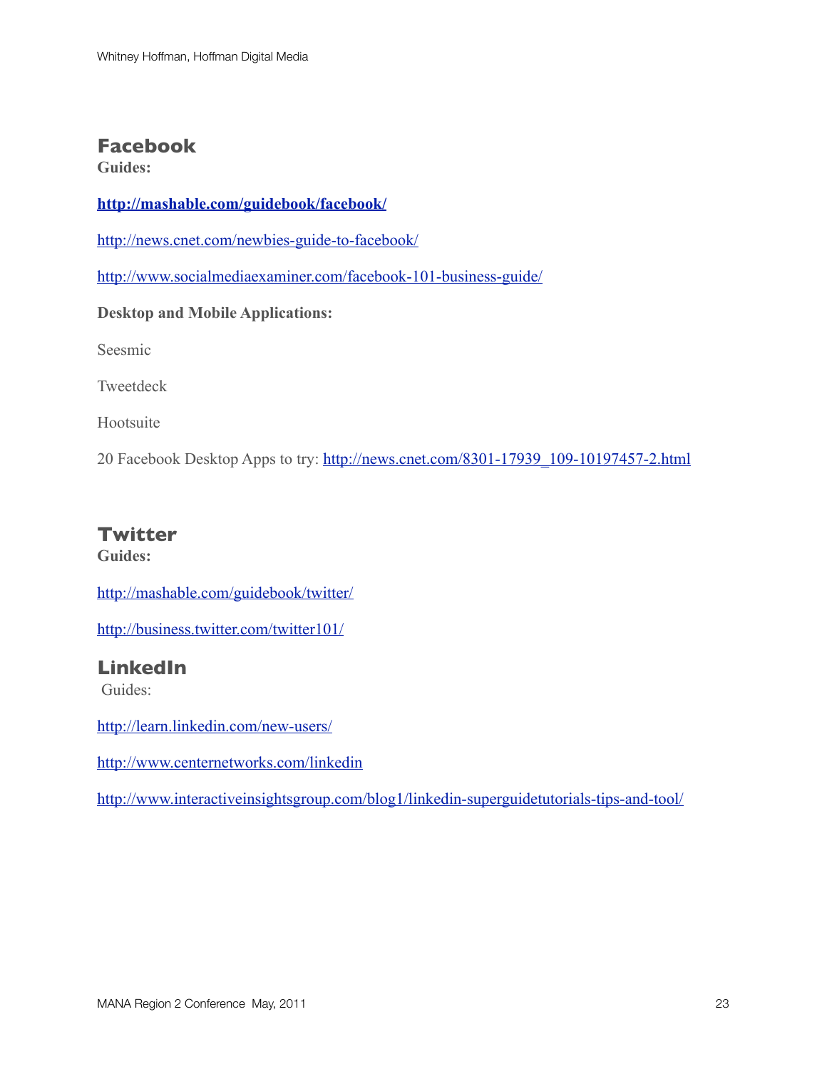### **Facebook**

**Guides:**

### **<http://mashable.com/guidebook/facebook/>**

<http://news.cnet.com/newbies-guide-to-facebook/>

<http://www.socialmediaexaminer.com/facebook-101-business-guide/>

#### **Desktop and Mobile Applications:**

Seesmic

Tweetdeck

Hootsuite

20 Facebook Desktop Apps to try: [http://news.cnet.com/8301-17939\\_109-10197457-2.html](http://news.cnet.com/8301-17939_109-10197457-2.html)

### **Twitter**

**Guides:**

<http://mashable.com/guidebook/twitter/>

<http://business.twitter.com/twitter101/>

### **LinkedIn**

Guides:

<http://learn.linkedin.com/new-users/>

<http://www.centernetworks.com/linkedin>

<http://www.interactiveinsightsgroup.com/blog1/linkedin-superguidetutorials-tips-and-tool/>